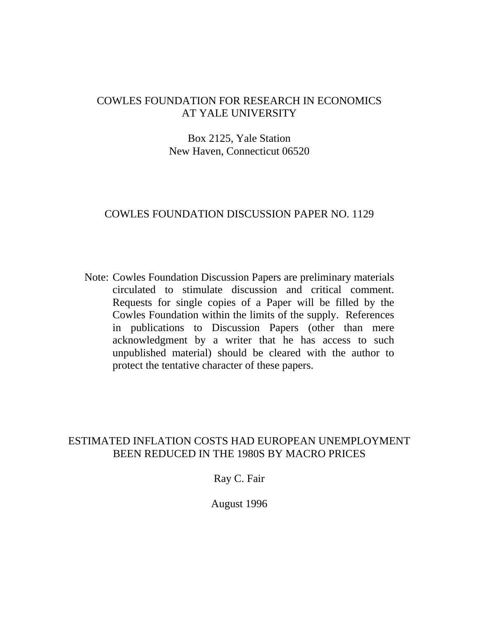# COWLES FOUNDATION FOR RESEARCH IN ECONOMICS AT YALE UNIVERSITY

# Box 2125, Yale Station New Haven, Connecticut 06520

## COWLES FOUNDATION DISCUSSION PAPER NO. 1129

Note: Cowles Foundation Discussion Papers are preliminary materials circulated to stimulate discussion and critical comment. Requests for single copies of a Paper will be filled by the Cowles Foundation within the limits of the supply. References in publications to Discussion Papers (other than mere acknowledgment by a writer that he has access to such unpublished material) should be cleared with the author to protect the tentative character of these papers.

# ESTIMATED INFLATION COSTS HAD EUROPEAN UNEMPLOYMENT BEEN REDUCED IN THE 1980S BY MACRO PRICES

Ray C. Fair

August 1996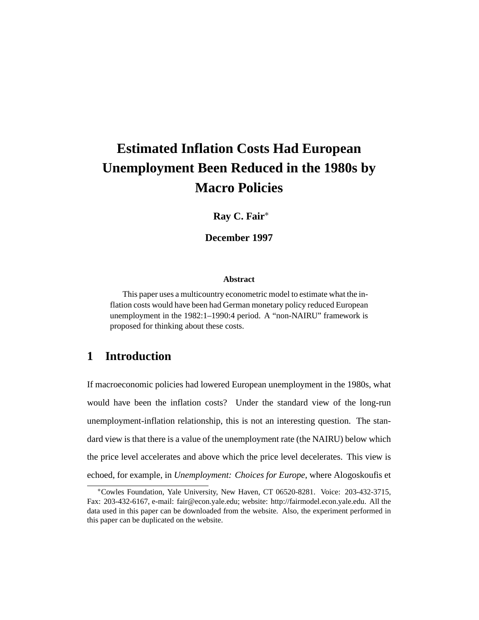# **Estimated Inflation Costs Had European Unemployment Been Reduced in the 1980s by Macro Policies**

### **Ray C. Fair**<sup>∗</sup>

**December 1997**

#### **Abstract**

This paper uses a multicountry econometric model to estimate what the inflation costs would have been had German monetary policy reduced European unemployment in the 1982:1–1990:4 period. A "non-NAIRU" framework is proposed for thinking about these costs.

# **1 Introduction**

If macroeconomic policies had lowered European unemployment in the 1980s, what would have been the inflation costs? Under the standard view of the long-run unemployment-inflation relationship, this is not an interesting question. The standard view is that there is a value of the unemployment rate (the NAIRU) below which the price level accelerates and above which the price level decelerates. This view is echoed, for example, in *Unemployment: Choices for Europe*, where Alogoskoufis et

<sup>∗</sup>Cowles Foundation, Yale University, New Haven, CT 06520-8281. Voice: 203-432-3715, Fax: 203-432-6167, e-mail: fair@econ.yale.edu; website: http://fairmodel.econ.yale.edu. All the data used in this paper can be downloaded from the website. Also, the experiment performed in this paper can be duplicated on the website.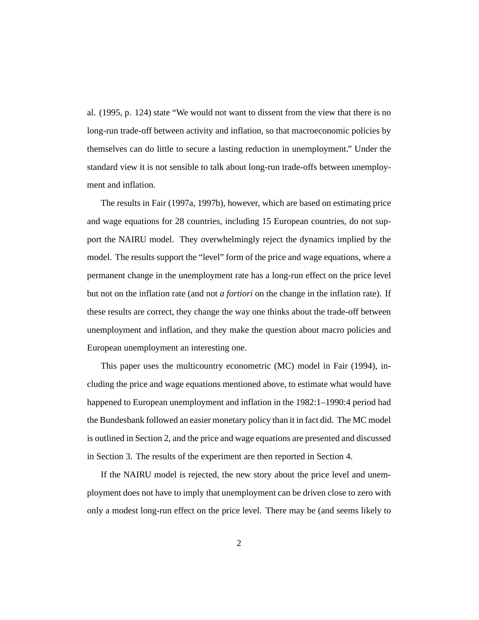al. (1995, p. 124) state "We would not want to dissent from the view that there is no long-run trade-off between activity and inflation, so that macroeconomic policies by themselves can do little to secure a lasting reduction in unemployment." Under the standard view it is not sensible to talk about long-run trade-offs between unemployment and inflation.

The results in Fair (1997a, 1997b), however, which are based on estimating price and wage equations for 28 countries, including 15 European countries, do not support the NAIRU model. They overwhelmingly reject the dynamics implied by the model. The results support the "level" form of the price and wage equations, where a permanent change in the unemployment rate has a long-run effect on the price level but not on the inflation rate (and not *a fortiori* on the change in the inflation rate). If these results are correct, they change the way one thinks about the trade-off between unemployment and inflation, and they make the question about macro policies and European unemployment an interesting one.

This paper uses the multicountry econometric (MC) model in Fair (1994), including the price and wage equations mentioned above, to estimate what would have happened to European unemployment and inflation in the 1982:1–1990:4 period had the Bundesbank followed an easier monetary policy than it in fact did. The MC model is outlined in Section 2, and the price and wage equations are presented and discussed in Section 3. The results of the experiment are then reported in Section 4.

If the NAIRU model is rejected, the new story about the price level and unemployment does not have to imply that unemployment can be driven close to zero with only a modest long-run effect on the price level. There may be (and seems likely to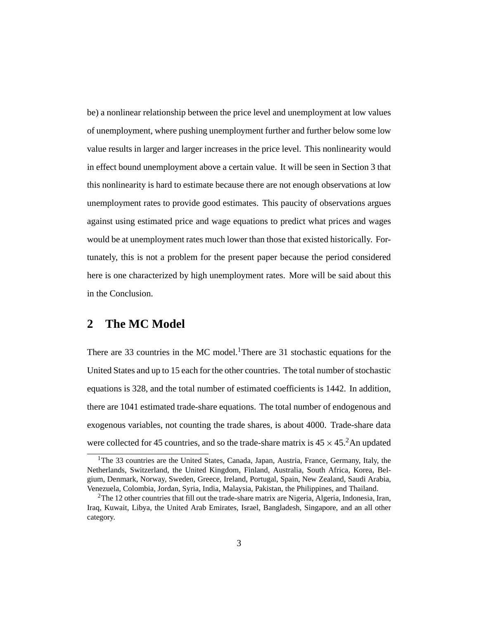be) a nonlinear relationship between the price level and unemployment at low values of unemployment, where pushing unemployment further and further below some low value results in larger and larger increases in the price level. This nonlinearity would in effect bound unemployment above a certain value. It will be seen in Section 3 that this nonlinearity is hard to estimate because there are not enough observations at low unemployment rates to provide good estimates. This paucity of observations argues against using estimated price and wage equations to predict what prices and wages would be at unemployment rates much lower than those that existed historically. Fortunately, this is not a problem for the present paper because the period considered here is one characterized by high unemployment rates. More will be said about this in the Conclusion.

# **2 The MC Model**

There are 33 countries in the MC model.<sup>1</sup>There are 31 stochastic equations for the United States and up to 15 each for the other countries. The total number of stochastic equations is 328, and the total number of estimated coefficients is 1442. In addition, there are 1041 estimated trade-share equations. The total number of endogenous and exogenous variables, not counting the trade shares, is about 4000. Trade-share data were collected for 45 countries, and so the trade-share matrix is  $45 \times 45$ <sup>2</sup>An updated

<sup>&</sup>lt;sup>1</sup>The 33 countries are the United States, Canada, Japan, Austria, France, Germany, Italy, the Netherlands, Switzerland, the United Kingdom, Finland, Australia, South Africa, Korea, Belgium, Denmark, Norway, Sweden, Greece, Ireland, Portugal, Spain, New Zealand, Saudi Arabia, Venezuela, Colombia, Jordan, Syria, India, Malaysia, Pakistan, the Philippines, and Thailand.

<sup>&</sup>lt;sup>2</sup>The 12 other countries that fill out the trade-share matrix are Nigeria, Algeria, Indonesia, Iran, Iraq, Kuwait, Libya, the United Arab Emirates, Israel, Bangladesh, Singapore, and an all other category.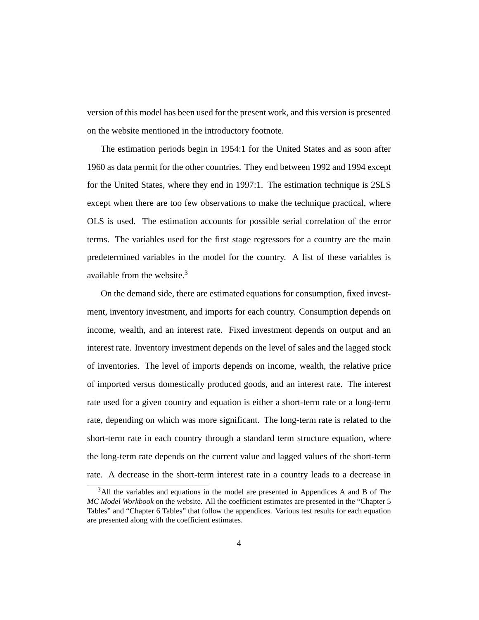version of this model has been used for the present work, and this version is presented on the website mentioned in the introductory footnote.

The estimation periods begin in 1954:1 for the United States and as soon after 1960 as data permit for the other countries. They end between 1992 and 1994 except for the United States, where they end in 1997:1. The estimation technique is 2SLS except when there are too few observations to make the technique practical, where OLS is used. The estimation accounts for possible serial correlation of the error terms. The variables used for the first stage regressors for a country are the main predetermined variables in the model for the country. A list of these variables is available from the website. $3$ 

On the demand side, there are estimated equations for consumption, fixed investment, inventory investment, and imports for each country. Consumption depends on income, wealth, and an interest rate. Fixed investment depends on output and an interest rate. Inventory investment depends on the level of sales and the lagged stock of inventories. The level of imports depends on income, wealth, the relative price of imported versus domestically produced goods, and an interest rate. The interest rate used for a given country and equation is either a short-term rate or a long-term rate, depending on which was more significant. The long-term rate is related to the short-term rate in each country through a standard term structure equation, where the long-term rate depends on the current value and lagged values of the short-term rate. A decrease in the short-term interest rate in a country leads to a decrease in

<sup>3</sup>All the variables and equations in the model are presented in Appendices A and B of *The MC Model Workbook* on the website. All the coefficient estimates are presented in the "Chapter 5 Tables" and "Chapter 6 Tables" that follow the appendices. Various test results for each equation are presented along with the coefficient estimates.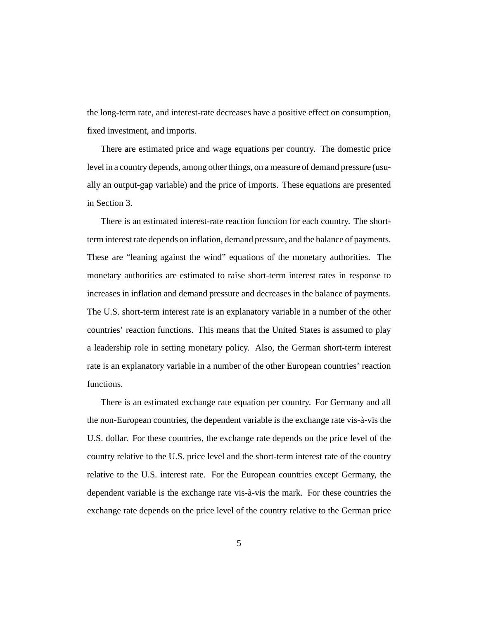the long-term rate, and interest-rate decreases have a positive effect on consumption, fixed investment, and imports.

There are estimated price and wage equations per country. The domestic price level in a country depends, among other things, on a measure of demand pressure (usually an output-gap variable) and the price of imports. These equations are presented in Section 3.

There is an estimated interest-rate reaction function for each country. The shortterm interest rate depends on inflation, demand pressure, and the balance of payments. These are "leaning against the wind" equations of the monetary authorities. The monetary authorities are estimated to raise short-term interest rates in response to increases in inflation and demand pressure and decreases in the balance of payments. The U.S. short-term interest rate is an explanatory variable in a number of the other countries' reaction functions. This means that the United States is assumed to play a leadership role in setting monetary policy. Also, the German short-term interest rate is an explanatory variable in a number of the other European countries' reaction functions.

There is an estimated exchange rate equation per country. For Germany and all the non-European countries, the dependent variable is the exchange rate vis-à-vis the U.S. dollar. For these countries, the exchange rate depends on the price level of the country relative to the U.S. price level and the short-term interest rate of the country relative to the U.S. interest rate. For the European countries except Germany, the dependent variable is the exchange rate vis-à-vis the mark. For these countries the exchange rate depends on the price level of the country relative to the German price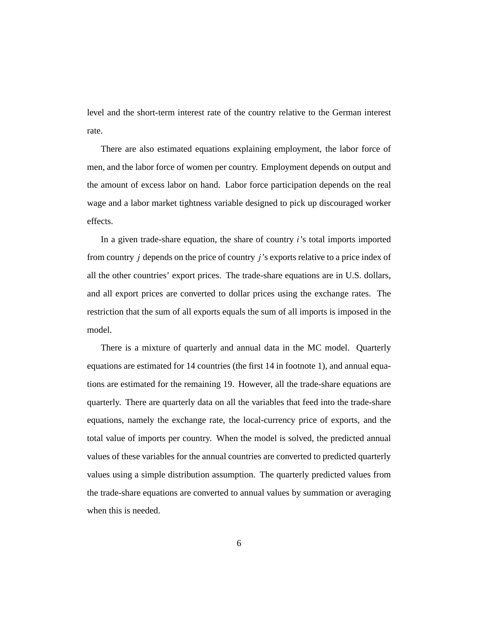level and the short-term interest rate of the country relative to the German interest rate.

There are also estimated equations explaining employment, the labor force of men, and the labor force of women per country. Employment depends on output and the amount of excess labor on hand. Labor force participation depends on the real wage and a labor market tightness variable designed to pick up discouraged worker effects.

In a given trade-share equation, the share of country *i*'s total imports imported from country *j* depends on the price of country *j* 's exports relative to a price index of all the other countries' export prices. The trade-share equations are in U.S. dollars, and all export prices are converted to dollar prices using the exchange rates. The restriction that the sum of all exports equals the sum of all imports is imposed in the model.

There is a mixture of quarterly and annual data in the MC model. Quarterly equations are estimated for 14 countries (the first 14 in footnote 1), and annual equations are estimated for the remaining 19. However, all the trade-share equations are quarterly. There are quarterly data on all the variables that feed into the trade-share equations, namely the exchange rate, the local-currency price of exports, and the total value of imports per country. When the model is solved, the predicted annual values of these variables for the annual countries are converted to predicted quarterly values using a simple distribution assumption. The quarterly predicted values from the trade-share equations are converted to annual values by summation or averaging when this is needed.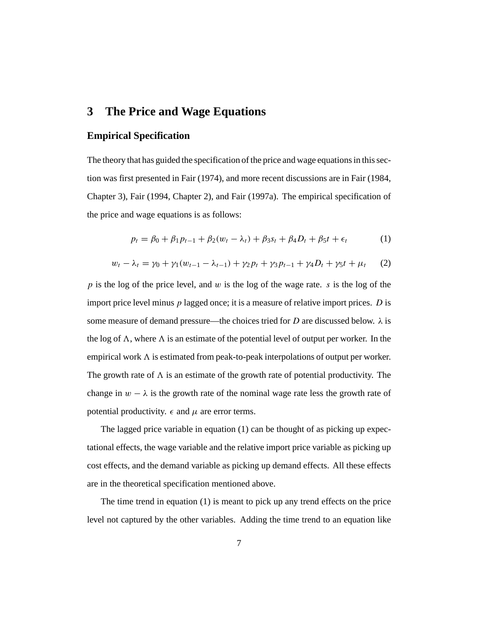### **3 The Price and Wage Equations**

### **Empirical Specification**

The theory that has guided the specification of the price and wage equations in this section was first presented in Fair (1974), and more recent discussions are in Fair (1984, Chapter 3), Fair (1994, Chapter 2), and Fair (1997a). The empirical specification of the price and wage equations is as follows:

$$
p_t = \beta_0 + \beta_1 p_{t-1} + \beta_2 (w_t - \lambda_t) + \beta_3 s_t + \beta_4 D_t + \beta_5 t + \epsilon_t \tag{1}
$$

$$
w_t - \lambda_t = \gamma_0 + \gamma_1 (w_{t-1} - \lambda_{t-1}) + \gamma_2 p_t + \gamma_3 p_{t-1} + \gamma_4 D_t + \gamma_5 t + \mu_t \tag{2}
$$

*p* is the log of the price level, and *w* is the log of the wage rate. *s* is the log of the import price level minus *p* lagged once; it is a measure of relative import prices. *D* is some measure of demand pressure—the choices tried for *D* are discussed below. *λ* is the log of  $\Lambda$ , where  $\Lambda$  is an estimate of the potential level of output per worker. In the empirical work  $\Lambda$  is estimated from peak-to-peak interpolations of output per worker. The growth rate of  $\Lambda$  is an estimate of the growth rate of potential productivity. The change in  $w - \lambda$  is the growth rate of the nominal wage rate less the growth rate of potential productivity.  $\epsilon$  and  $\mu$  are error terms.

The lagged price variable in equation (1) can be thought of as picking up expectational effects, the wage variable and the relative import price variable as picking up cost effects, and the demand variable as picking up demand effects. All these effects are in the theoretical specification mentioned above.

The time trend in equation (1) is meant to pick up any trend effects on the price level not captured by the other variables. Adding the time trend to an equation like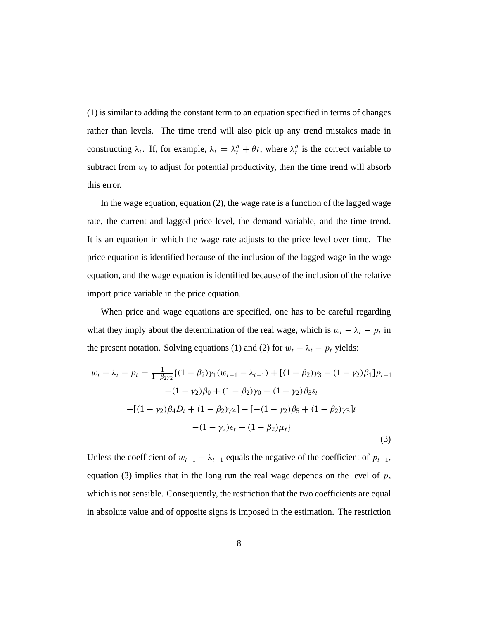(1) is similar to adding the constant term to an equation specified in terms of changes rather than levels. The time trend will also pick up any trend mistakes made in constructing  $\lambda_t$ . If, for example,  $\lambda_t = \lambda_t^a + \theta t$ , where  $\lambda_t^a$  is the correct variable to subtract from  $w_t$  to adjust for potential productivity, then the time trend will absorb this error.

In the wage equation, equation  $(2)$ , the wage rate is a function of the lagged wage rate, the current and lagged price level, the demand variable, and the time trend. It is an equation in which the wage rate adjusts to the price level over time. The price equation is identified because of the inclusion of the lagged wage in the wage equation, and the wage equation is identified because of the inclusion of the relative import price variable in the price equation.

When price and wage equations are specified, one has to be careful regarding what they imply about the determination of the real wage, which is  $w_t - \lambda_t - p_t$  in the present notation. Solving equations (1) and (2) for  $w_t - \lambda_t - p_t$  yields:

$$
w_t - \lambda_t - p_t = \frac{1}{1 - \beta_2 \gamma_2} \{ (1 - \beta_2) \gamma_1 (w_{t-1} - \lambda_{t-1}) + [(1 - \beta_2) \gamma_3 - (1 - \gamma_2) \beta_1] p_{t-1} - (1 - \gamma_2) \beta_0 + (1 - \beta_2) \gamma_0 - (1 - \gamma_2) \beta_3 s_t - [(1 - \gamma_2) \beta_4 D_t + (1 - \beta_2) \gamma_4] - [-(1 - \gamma_2) \beta_5 + (1 - \beta_2) \gamma_5] t - (1 - \gamma_2) \epsilon_t + (1 - \beta_2) \mu_t \}
$$
\n(3)

Unless the coefficient of  $w_{t-1} - \lambda_{t-1}$  equals the negative of the coefficient of  $p_{t-1}$ , equation (3) implies that in the long run the real wage depends on the level of *p*, which is not sensible. Consequently, the restriction that the two coefficients are equal in absolute value and of opposite signs is imposed in the estimation. The restriction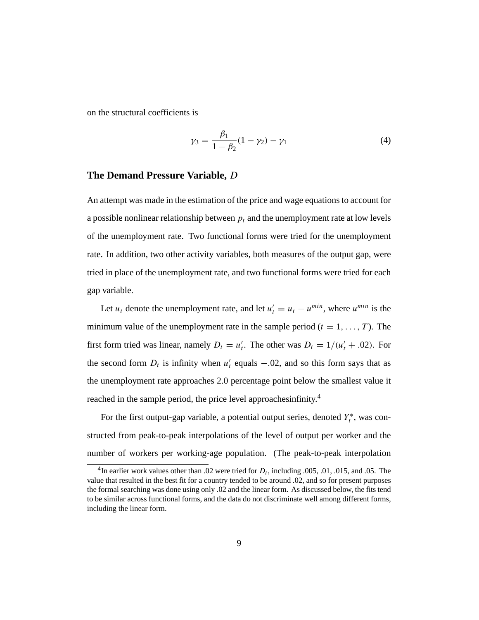on the structural coefficients is

$$
\gamma_3 = \frac{\beta_1}{1 - \beta_2} (1 - \gamma_2) - \gamma_1 \tag{4}
$$

#### **The Demand Pressure Variable,** *D*

An attempt was made in the estimation of the price and wage equations to account for a possible nonlinear relationship between  $p_t$  and the unemployment rate at low levels of the unemployment rate. Two functional forms were tried for the unemployment rate. In addition, two other activity variables, both measures of the output gap, were tried in place of the unemployment rate, and two functional forms were tried for each gap variable.

Let *u<sub>t</sub>* denote the unemployment rate, and let  $u'_t = u_t - u^{min}$ , where  $u^{min}$  is the minimum value of the unemployment rate in the sample period  $(t = 1, \ldots, T)$ . The first form tried was linear, namely  $D_t = u'_t$ . The other was  $D_t = 1/(u'_t + .02)$ . For the second form  $D_t$  is infinity when  $u'_t$  equals  $-.02$ , and so this form says that as the unemployment rate approaches 2.0 percentage point below the smallest value it reached in the sample period, the price level approachesinfinity.4

For the first output-gap variable, a potential output series, denoted  $Y_t^*$ , was constructed from peak-to-peak interpolations of the level of output per worker and the number of workers per working-age population. (The peak-to-peak interpolation

<sup>&</sup>lt;sup>4</sup>In earlier work values other than .02 were tried for  $D_t$ , including .005, .01, .015, and .05. The value that resulted in the best fit for a country tended to be around .02, and so for present purposes the formal searching was done using only .02 and the linear form. As discussed below, the fits tend to be similar across functional forms, and the data do not discriminate well among different forms, including the linear form.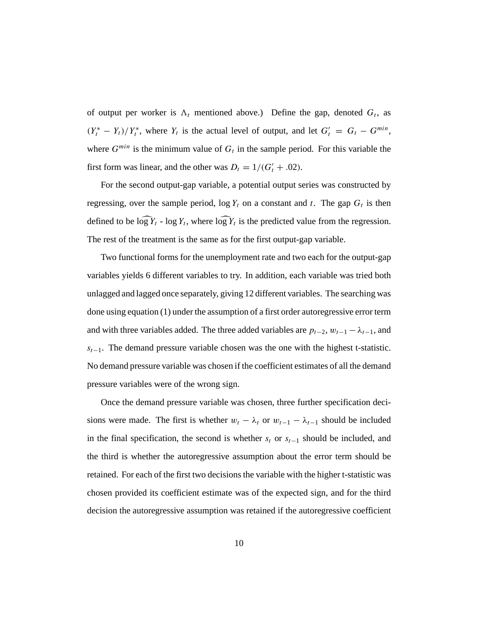of output per worker is  $\Lambda_t$  mentioned above.) Define the gap, denoted  $G_t$ , as  $(Y_t^* - Y_t)/Y_t^*$ , where  $Y_t$  is the actual level of output, and let  $G_t' = G_t - G^{min}$ , where  $G^{min}$  is the minimum value of  $G_t$  in the sample period. For this variable the first form was linear, and the other was  $D_t = 1/(G'_t + .02)$ .

For the second output-gap variable, a potential output series was constructed by regressing, over the sample period,  $\log Y_t$  on a constant and t. The gap  $G_t$  is then defined to be  $\log Y_t$  -  $\log Y_t$ , where  $\log Y_t$  is the predicted value from the regression. The rest of the treatment is the same as for the first output-gap variable.

Two functional forms for the unemployment rate and two each for the output-gap variables yields 6 different variables to try. In addition, each variable was tried both unlagged and lagged once separately, giving 12 different variables. The searching was done using equation (1) under the assumption of a first order autoregressive error term and with three variables added. The three added variables are  $p_{t-2}$ ,  $w_{t-1} - \lambda_{t-1}$ , and *s*<sub>t−1</sub>. The demand pressure variable chosen was the one with the highest t-statistic. No demand pressure variable was chosen if the coefficient estimates of all the demand pressure variables were of the wrong sign.

Once the demand pressure variable was chosen, three further specification decisions were made. The first is whether  $w_t - \lambda_t$  or  $w_{t-1} - \lambda_{t-1}$  should be included in the final specification, the second is whether  $s_t$  or  $s_{t-1}$  should be included, and the third is whether the autoregressive assumption about the error term should be retained. For each of the first two decisions the variable with the higher t-statistic was chosen provided its coefficient estimate was of the expected sign, and for the third decision the autoregressive assumption was retained if the autoregressive coefficient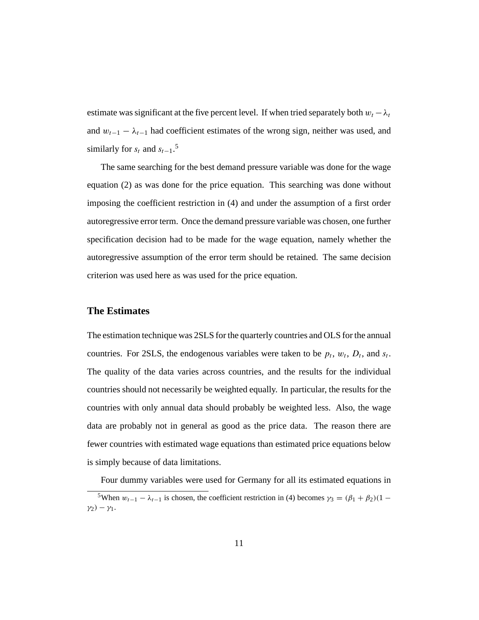estimate was significant at the five percent level. If when tried separately both  $w_t - \lambda_t$ and  $w_{t-1} - \lambda_{t-1}$  had coefficient estimates of the wrong sign, neither was used, and similarly for  $s_t$  and  $s_{t-1}$ .<sup>5</sup>

The same searching for the best demand pressure variable was done for the wage equation (2) as was done for the price equation. This searching was done without imposing the coefficient restriction in (4) and under the assumption of a first order autoregressive error term. Once the demand pressure variable was chosen, one further specification decision had to be made for the wage equation, namely whether the autoregressive assumption of the error term should be retained. The same decision criterion was used here as was used for the price equation.

### **The Estimates**

The estimation technique was 2SLS for the quarterly countries and OLS for the annual countries. For 2SLS, the endogenous variables were taken to be  $p_t$ ,  $w_t$ ,  $D_t$ , and  $s_t$ . The quality of the data varies across countries, and the results for the individual countries should not necessarily be weighted equally. In particular, the results for the countries with only annual data should probably be weighted less. Also, the wage data are probably not in general as good as the price data. The reason there are fewer countries with estimated wage equations than estimated price equations below is simply because of data limitations.

Four dummy variables were used for Germany for all its estimated equations in <sup>5</sup>When  $w_{t-1} - \lambda_{t-1}$  is chosen, the coefficient restriction in (4) becomes  $\gamma_3 = (\beta_1 + \beta_2)(1 - \lambda_1)$ *γ*2*)* − *γ*1.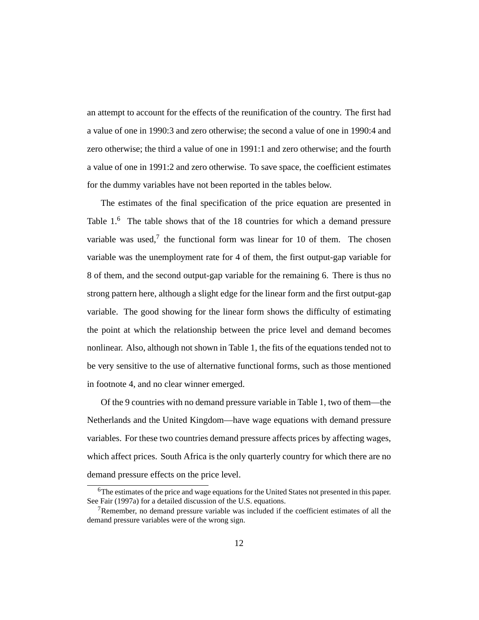an attempt to account for the effects of the reunification of the country. The first had a value of one in 1990:3 and zero otherwise; the second a value of one in 1990:4 and zero otherwise; the third a value of one in 1991:1 and zero otherwise; and the fourth a value of one in 1991:2 and zero otherwise. To save space, the coefficient estimates for the dummy variables have not been reported in the tables below.

The estimates of the final specification of the price equation are presented in Table 1.<sup>6</sup> The table shows that of the 18 countries for which a demand pressure variable was used,<sup>7</sup> the functional form was linear for 10 of them. The chosen variable was the unemployment rate for 4 of them, the first output-gap variable for 8 of them, and the second output-gap variable for the remaining 6. There is thus no strong pattern here, although a slight edge for the linear form and the first output-gap variable. The good showing for the linear form shows the difficulty of estimating the point at which the relationship between the price level and demand becomes nonlinear. Also, although not shown in Table 1, the fits of the equations tended not to be very sensitive to the use of alternative functional forms, such as those mentioned in footnote 4, and no clear winner emerged.

Of the 9 countries with no demand pressure variable in Table 1, two of them—the Netherlands and the United Kingdom—have wage equations with demand pressure variables. For these two countries demand pressure affects prices by affecting wages, which affect prices. South Africa is the only quarterly country for which there are no demand pressure effects on the price level.

<sup>6</sup>The estimates of the price and wage equations for the United States not presented in this paper. See Fair (1997a) for a detailed discussion of the U.S. equations.

<sup>7</sup>Remember, no demand pressure variable was included if the coefficient estimates of all the demand pressure variables were of the wrong sign.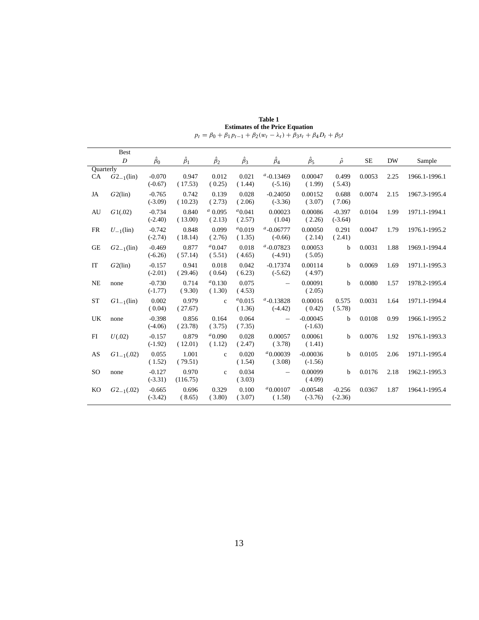|                  | <b>Best</b>          |                 |                 |                 |                       |                           |                   |                 |           |           |               |
|------------------|----------------------|-----------------|-----------------|-----------------|-----------------------|---------------------------|-------------------|-----------------|-----------|-----------|---------------|
|                  | $\boldsymbol{D}$     | $\hat{\beta}_0$ | $\hat{\beta}_1$ | $\hat{\beta}_2$ | $\hat{\beta}_3$       | $\hat{\beta}_4$           | $\hat{\beta}_5$   | $\hat{\rho}$    | <b>SE</b> | <b>DW</b> | Sample        |
| <b>Quarterly</b> |                      |                 |                 |                 |                       |                           |                   |                 |           |           |               |
| CA               | $G2_{-1}$ (lin)      | $-0.070$        | 0.947           | 0.012           | 0.021                 | $a$ -0.13469              | 0.00047           | 0.499           | 0.0053    | 2.25      | 1966.1-1996.1 |
|                  |                      | $(-0.67)$       | (17.53)         | (0.25)          | (1.44)                | $(-5.16)$                 | (1.99)            | (5.43)          |           |           |               |
| JA               | $G2(\text{lin})$     | $-0.765$        | 0.742           | 0.139           | 0.028                 | $-0.24050$                | 0.00152           | 0.688           | 0.0074    | 2.15      | 1967.3-1995.4 |
|                  |                      | $(-3.09)$       | (10.23)         | (2.73)          | (2.06)                | $(-3.36)$                 | (3.07)            | (7.06)          |           |           |               |
| AU               | G1(.02)              | $-0.734$        | 0.840           | $a_{0.095}$     | $a_{0.041}$           | 0.00023                   | 0.00086           | $-0.397$        | 0.0104    | 1.99      | 1971.1-1994.1 |
|                  |                      | $(-2.40)$       | (13.00)         | (2.13)          | (2.57)                | (1.04)                    | (2.26)            | $(-3.64)$       |           |           |               |
| FR               | $U_{-1}(\text{lin})$ | $-0.742$        | 0.848           | 0.099           | $a_{0.019}$           | $a$ -0.06777              | 0.00050           | 0.291           | 0.0047    | 1.79      | 1976.1-1995.2 |
|                  |                      | $(-2.74)$       | (18.14)         | (2.76)          | (1.35)                | $(-0.66)$                 | (2.14)            | (2.41)          |           |           |               |
| <b>GE</b>        | $G2_{-1}$ (lin)      | $-0.469$        | 0.877           | ${}^{a}$ 0.047  | 0.018                 | $a$ -0.07823              | 0.00053           | b               | 0.0031    | 1.88      | 1969.1-1994.4 |
|                  |                      | $(-6.26)$       | (57.14)         | (5.51)          | (4.65)                | $(-4.91)$                 | (5.05)            |                 |           |           |               |
| IT               | $G2(\text{lin})$     | $-0.157$        | 0.941           | 0.018           | 0.042                 | $-0.17374$                | 0.00114           | b               | 0.0069    | 1.69      | 1971.1-1995.3 |
|                  |                      | $(-2.01)$       | (29.46)         | (0.64)          | (6.23)                | $(-5.62)$                 | (4.97)            |                 |           |           |               |
| <b>NE</b>        | none                 | $-0.730$        | 0.714           | $a_{0.130}$     | 0.075                 | $\overline{\phantom{0}}$  | 0.00091           | b               | 0.0080    | 1.57      | 1978.2-1995.4 |
|                  |                      | $(-1.77)$       | (9.30)          | (1.30)          | (4.53)                |                           | (2.05)            |                 |           |           |               |
|                  |                      |                 |                 |                 |                       |                           |                   |                 |           |           |               |
| <b>ST</b>        | $G1_{-1}$ (lin)      | 0.002<br>(0.04) | 0.979           | $\mathbf{c}$    | $a_{0.015}$<br>(1.36) | $a$ -0.13828<br>$(-4.42)$ | 0.00016<br>(0.42) | 0.575<br>(5.78) | 0.0031    | 1.64      | 1971.1-1994.4 |
|                  |                      |                 | (27.67)         |                 |                       |                           |                   |                 |           |           |               |
| UK               | none                 | $-0.398$        | 0.856           | 0.164           | 0.064                 | $\equiv$                  | $-0.00045$        | b               | 0.0108    | 0.99      | 1966.1-1995.2 |
|                  |                      | $(-4.06)$       | (23.78)         | (3.75)          | (7.35)                |                           | $(-1.63)$         |                 |           |           |               |
| FI               | U(.02)               | $-0.157$        | 0.879           | $a_{0.090}$     | 0.028                 | 0.00057                   | 0.00061           | b               | 0.0076    | 1.92      | 1976.1-1993.3 |
|                  |                      | $(-1.92)$       | (12.01)         | (1.12)          | (2.47)                | (3.78)                    | (1.41)            |                 |           |           |               |
| AS               | $G1_{-1}(.02)$       | 0.055           | 1.001           | $\mathbf{c}$    | 0.020                 | $a_{0.00039}$             | $-0.00036$        | b               | 0.0105    | 2.06      | 1971.1-1995.4 |
|                  |                      | (1.52)          | (79.51)         |                 | (1.54)                | (3.08)                    | $(-1.56)$         |                 |           |           |               |
| <sub>SO</sub>    | none                 | $-0.127$        | 0.970           | $\mathbf{c}$    | 0.034                 | $\equiv$                  | 0.00099           | b               | 0.0176    | 2.18      | 1962.1-1995.3 |
|                  |                      | $(-3.31)$       | (116.75)        |                 | (3.03)                |                           | (4.09)            |                 |           |           |               |
| KO               | $G2_{-1}(.02)$       | $-0.665$        | 0.696           | 0.329           | 0.100                 | ${}^{a}$ 0.00107          | $-0.00548$        | $-0.256$        | 0.0367    | 1.87      | 1964.1-1995.4 |
|                  |                      | $(-3.42)$       | (8.65)          | (3.80)          | (3.07)                | (1.58)                    | $(-3.76)$         | $(-2.36)$       |           |           |               |
|                  |                      |                 |                 |                 |                       |                           |                   |                 |           |           |               |

**Table 1 Estimates of the Price Equation**  $p_t = \beta_0 + \beta_1 p_{t-1} + \beta_2 (w_t - \lambda_t) + \beta_3 s_t + \beta_4 D_t + \beta_5 t$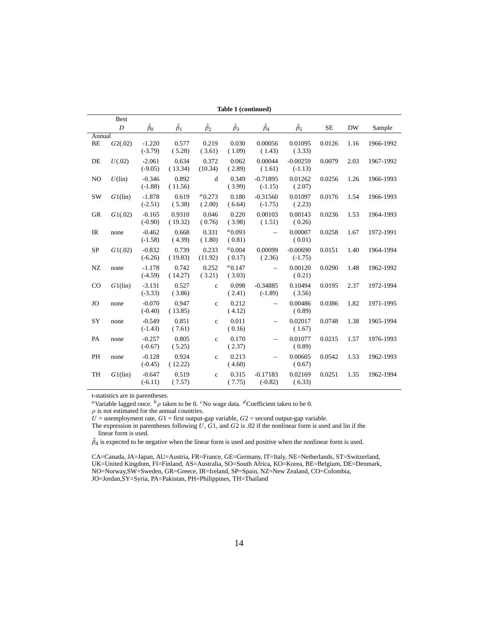|                | Table 1 (continued) |                       |                   |                       |                          |                          |                         |           |           |           |  |  |  |
|----------------|---------------------|-----------------------|-------------------|-----------------------|--------------------------|--------------------------|-------------------------|-----------|-----------|-----------|--|--|--|
|                | <b>Best</b>         |                       |                   |                       |                          |                          |                         |           |           |           |  |  |  |
|                | $\boldsymbol{D}$    | $\hat{\beta}_0$       | $\hat{\beta}_1$   | $\hat{\beta}_2$       | $\hat{\beta}_3$          | $\hat{\beta}_4$          | $\hat{\beta}_5$         | <b>SE</b> | <b>DW</b> | Sample    |  |  |  |
| Annual<br>BE   | G2(.02)             | $-1.220$<br>$(-3.79)$ | 0.577<br>(5.28)   | 0.219<br>(3.61)       | 0.030<br>(1.09)          | 0.00056<br>(1.43)        | 0.01095<br>(3.33)       | 0.0126    | 1.16      | 1966-1992 |  |  |  |
| DE             | U(.02)              | $-2.061$<br>$(-9.05)$ | 0.634<br>(13.34)  | 0.372<br>(10.34)      | 0.062<br>(2.89)          | 0.00044<br>(1.61)        | $-0.00259$<br>$(-1.13)$ | 0.0079    | 2.03      | 1967-1992 |  |  |  |
| N <sub>O</sub> | $U(\text{lin})$     | $-0.346$<br>$(-1.88)$ | 0.892<br>(11.56)  | d                     | 0.349<br>(3.99)          | $-0.71895$<br>$(-1.15)$  | 0.01262<br>(2.07)       | 0.0256    | 1.26      | 1966-1993 |  |  |  |
| <b>SW</b>      | $G1(\text{lin})$    | $-1.878$<br>$(-2.51)$ | 0.619<br>(5.38)   | $a_{0.273}$<br>(2.00) | 0.180<br>(6.64)          | $-0.31560$<br>$(-1.75)$  | 0.01097<br>(2.23)       | 0.0176    | 1.54      | 1966-1993 |  |  |  |
| <b>GR</b>      | G1(.02)             | $-0.165$<br>$(-0.90)$ | 0.9310<br>(19.32) | 0.046<br>(0.76)       | 0.220<br>(3.98)          | 0.00103<br>(1.51)        | 0.00143<br>(0.26)       | 0.0236    | 1.53      | 1964-1993 |  |  |  |
| IR             | none                | $-0.462$<br>$(-1.58)$ | 0.668<br>(4.39)   | 0.331<br>(1.80)       | $a_{0.093}$<br>(0.81)    |                          | 0.00007<br>(0.01)       | 0.0258    | 1.67      | 1972-1991 |  |  |  |
| <b>SP</b>      | G1(.02)             | $-0.832$<br>$(-6.26)$ | 0.739<br>(19.83)  | 0.233<br>(11.92)      | ${}^{a}$ 0.004<br>(0.17) | 0.00099<br>(2.36)        | $-0.00690$<br>$(-1.75)$ | 0.0151    | 1.40      | 1964-1994 |  |  |  |
| NZ             | none                | $-1.178$<br>$(-4.59)$ | 0.742<br>(14.27)  | 0.252<br>(3.21)       | ${}^{a}$ 0.147<br>(3.03) |                          | 0.00120<br>(0.21)       | 0.0290    | 1.48      | 1962-1992 |  |  |  |
| CO             | $G1(\text{lin})$    | $-3.131$<br>$(-3.33)$ | 0.527<br>(3.86)   | $\mathbf{c}$          | 0.098<br>(2.41)          | $-0.34885$<br>$(-1.89)$  | 0.10494<br>(3.56)       | 0.0195    | 2.37      | 1972-1994 |  |  |  |
| JO             | none                | $-0.070$<br>$(-0.40)$ | 0.947<br>(13.85)  | $\mathbf{c}$          | 0.212<br>(4.12)          |                          | 0.00486<br>(0.89)       | 0.0386    | 1.82      | 1971-1995 |  |  |  |
| SY             | none                | $-0.549$<br>$(-1.43)$ | 0.851<br>(7.61)   | $\mathbf{c}$          | 0.011<br>(0.16)          | $\overline{\phantom{0}}$ | 0.02017<br>(1.67)       | 0.0748    | 1.38      | 1965-1994 |  |  |  |
| PA             | none                | $-0.257$<br>$(-0.67)$ | 0.805<br>(5.25)   | $\mathbf{c}$          | 0.170<br>(2.37)          |                          | 0.01077<br>(0.89)       | 0.0215    | 1.57      | 1976-1993 |  |  |  |
| PH             | none                | $-0.128$<br>$(-0.45)$ | 0.924<br>(12.22)  | $\mathbf{c}$          | 0.213<br>(4.60)          |                          | 0.00605<br>(0.67)       | 0.0542    | 1.53      | 1962-1993 |  |  |  |
| TH             | $G1(\text{lin})$    | $-0.647$<br>$(-6.11)$ | 0.519<br>(7.57)   | $\mathbf{c}$          | 0.315<br>(7.75)          | $-0.17183$<br>$(-0.82)$  | 0.02169<br>(6.33)       | 0.0251    | 1.35      | 1962-1994 |  |  |  |

t-statistics are in parentheses.

*a*Variable lagged once.  $\frac{b}{\rho}$  taken to be 0. *c*No wage data. *d*Coefficient taken to be 0.

*ρ* is not estimated for the annual countries.

 $U =$  unemployment rate,  $G1 =$  first output-gap variable,  $G2 =$  second output-gap variable.

The expression in parentheses following *U*, *G*1, and *G*2 is .02 if the nonlinear form is used and lin if the linear form is used.

 $\hat{\beta}_4$  is expected to be negative when the linear form is used and positive when the nonlinear form is used.

CA=Canada, JA=Japan, AU=Austria, FR=France, GE=Germany, IT=Italy, NE=Netherlands, ST=Switzerland, UK=United Kingdom, FI=Finland, AS=Australia, SO=South Africa, KO=Korea, BE=Belgium, DE=Denmark, NO=Norway,SW=Sweden, GR=Greece, IR=Ireland, SP=Spain, NZ=New Zealand, CO=Colombia, JO=Jordan,SY=Syria, PA=Pakistan, PH=Philippines, TH=Thailand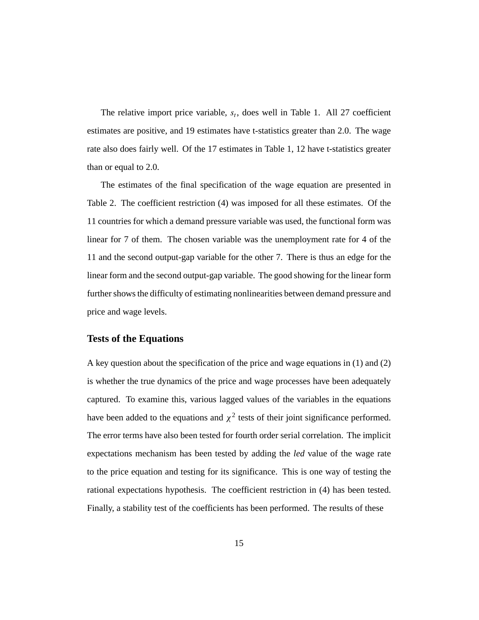The relative import price variable,  $s_t$ , does well in Table 1. All 27 coefficient estimates are positive, and 19 estimates have t-statistics greater than 2.0. The wage rate also does fairly well. Of the 17 estimates in Table 1, 12 have t-statistics greater than or equal to 2.0.

The estimates of the final specification of the wage equation are presented in Table 2. The coefficient restriction (4) was imposed for all these estimates. Of the 11 countries for which a demand pressure variable was used, the functional form was linear for 7 of them. The chosen variable was the unemployment rate for 4 of the 11 and the second output-gap variable for the other 7. There is thus an edge for the linear form and the second output-gap variable. The good showing for the linear form further shows the difficulty of estimating nonlinearities between demand pressure and price and wage levels.

#### **Tests of the Equations**

A key question about the specification of the price and wage equations in (1) and (2) is whether the true dynamics of the price and wage processes have been adequately captured. To examine this, various lagged values of the variables in the equations have been added to the equations and  $\chi^2$  tests of their joint significance performed. The error terms have also been tested for fourth order serial correlation. The implicit expectations mechanism has been tested by adding the *led* value of the wage rate to the price equation and testing for its significance. This is one way of testing the rational expectations hypothesis. The coefficient restriction in (4) has been tested. Finally, a stability test of the coefficients has been performed. The results of these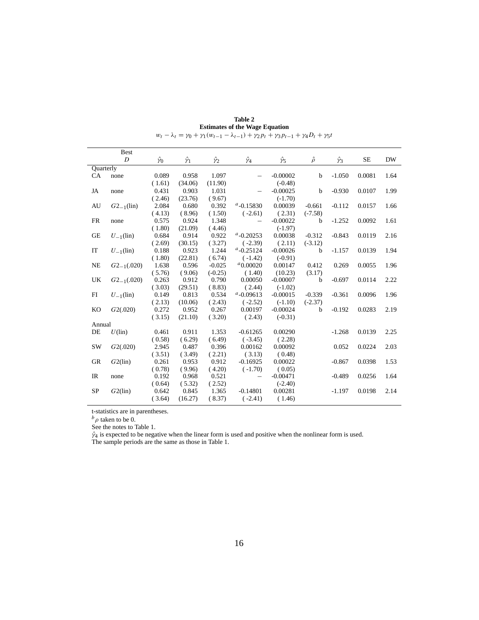|           | <b>Best</b>          |                  |                  |                  |                          |                  |              |                  |           |           |
|-----------|----------------------|------------------|------------------|------------------|--------------------------|------------------|--------------|------------------|-----------|-----------|
|           | D                    | $\hat{\gamma}_0$ | $\hat{\gamma}_1$ | $\hat{\gamma}_2$ | $\hat{\gamma}_4$         | $\hat{\gamma}_5$ | $\hat{\rho}$ | $\hat{\gamma}_3$ | <b>SE</b> | <b>DW</b> |
| Quarterly |                      |                  |                  |                  |                          |                  |              |                  |           |           |
| <b>CA</b> | none                 | 0.089            | 0.958            | 1.097            |                          | $-0.00002$       | b            | $-1.050$         | 0.0081    | 1.64      |
|           |                      | (1.61)           | (34.06)          | (11.90)          |                          | $(-0.48)$        |              |                  |           |           |
| JA        | none                 | 0.431            | 0.903            | 1.031            |                          | $-0.00025$       | $\mathbf b$  | $-0.930$         | 0.0107    | 1.99      |
|           |                      | (2.46)           | (23.76)          | (9.67)           |                          | $(-1.70)$        |              |                  |           |           |
| AU        | $G2_{-1}$ (lin)      | 2.084            | 0.680            | 0.392            | $a$ -0.15830             | 0.00039          | $-0.661$     | $-0.112$         | 0.0157    | 1.66      |
|           |                      | (4.13)           | (8.96)           | (1.50)           | $(-2.61)$                | (2.31)           | $(-7.58)$    |                  |           |           |
| <b>FR</b> | none                 | 0.575            | 0.924            | 1.348            |                          | $-0.00022$       | b            | $-1.252$         | 0.0092    | 1.61      |
|           |                      | (1.80)           | (21.09)          | (4.46)           |                          | $(-1.97)$        |              |                  |           |           |
| <b>GE</b> | $U_{-1}(\text{lin})$ | 0.684            | 0.914            | 0.922            | $a$ -0.20253             | 0.00038          | $-0.312$     | $-0.843$         | 0.0119    | 2.16      |
|           |                      | (2.69)           | (30.15)          | (3.27)           | $(-2.39)$                | (2.11)           | $(-3.12)$    |                  |           |           |
| IT        | $U_{-1}(\text{lin})$ | 0.188            | 0.923            | 1.244            | $a$ -0.25124             | $-0.00026$       | b            | $-1.157$         | 0.0139    | 1.94      |
|           |                      | (1.80)           | (22.81)          | (6.74)           | $(-1.42)$                | $(-0.91)$        |              |                  |           |           |
| NE        | $G2_{-1}(.020)$      | 1.638            | 0.596            | $-0.025$         | $a_{0.00020}$            | 0.00147          | 0.412        | 0.269            | 0.0055    | 1.96      |
|           |                      | (5.76)           | (9.06)           | $(-0.25)$        | (1.40)                   | (10.23)          | (3.17)       |                  |           |           |
| UK        | $G2_{-1}(.020)$      | 0.263            | 0.912            | 0.790            | 0.00050                  | $-0.00007$       | b            | $-0.697$         | 0.0114    | 2.22      |
|           |                      | (3.03)           | (29.51)          | (8.83)           | (2.44)                   | $(-1.02)$        |              |                  |           |           |
| FI        | $U_{-1}(\text{lin})$ | 0.149            | 0.813            | 0.534            | $a$ -0.09613             | $-0.00015$       | $-0.339$     | $-0.361$         | 0.0096    | 1.96      |
|           |                      | (2.13)           | (10.06)          | (2.43)           | $(-2.52)$                | $(-1.10)$        | $(-2.37)$    |                  |           |           |
| KO        | G2(.020)             | 0.272            | 0.952            | 0.267            | 0.00197                  | $-0.00024$       | b            | $-0.192$         | 0.0283    | 2.19      |
|           |                      | (3.15)           | (21.10)          | (3.20)           | (2.43)                   | $(-0.31)$        |              |                  |           |           |
| Annual    |                      |                  |                  |                  |                          |                  |              |                  |           |           |
| DE        | $U(\text{lin})$      | 0.461            | 0.911            | 1.353            | $-0.61265$               | 0.00290          |              | $-1.268$         | 0.0139    | 2.25      |
|           |                      | (0.58)           | (6.29)           | (6.49)           | $(-3.45)$                | (2.28)           |              |                  |           |           |
| <b>SW</b> | G2(.020)             | 2.945            | 0.487            | 0.396            | 0.00162                  | 0.00092          |              | 0.052            | 0.0224    | 2.03      |
|           |                      | (3.51)           | (3.49)           | (2.21)           | (3.13)                   | (0.48)           |              |                  |           |           |
| GR        | $G2(\text{lin})$     | 0.261            | 0.953            | 0.912            | $-0.16925$               | 0.00022          |              | $-0.867$         | 0.0398    | 1.53      |
|           |                      | (0.78)           | (9.96)           | (4.20)           | $(-1.70)$                | (0.05)           |              |                  |           |           |
| IR        | none                 | 0.192            | 0.968            | 0.521            | $\overline{\phantom{0}}$ | $-0.00471$       |              | $-0.489$         | 0.0256    | 1.64      |
|           |                      | (0.64)           | (5.32)           | (2.52)           |                          | $(-2.40)$        |              |                  |           |           |
| <b>SP</b> | $G2(\text{lin})$     | 0.642            | 0.845            | 1.365            | $-0.14801$               | 0.00281          |              | $-1.197$         | 0.0198    | 2.14      |
|           |                      | (3.64)           | (16.27)          | (8.37)           | $(-2.41)$                | (1.46)           |              |                  |           |           |
|           |                      |                  |                  |                  |                          |                  |              |                  |           |           |

**Table 2 Estimates of the Wage Equation** *w<sub>t</sub>* −  $\lambda_t$  =  $\gamma_0$  +  $\gamma_1(w_{t-1} - \lambda_{t-1}) + \gamma_2 p_t + \gamma_3 p_{t-1} + \gamma_4 D_t + \gamma_5 t$ 

t-statistics are in parentheses.

*<sub>* $\rho$ *</sub> taken to be 0.* 

See the notes to Table 1.

 $\hat{\gamma}_4$  is expected to be negative when the linear form is used and positive when the nonlinear form is used. The sample periods are the same as those in Table 1.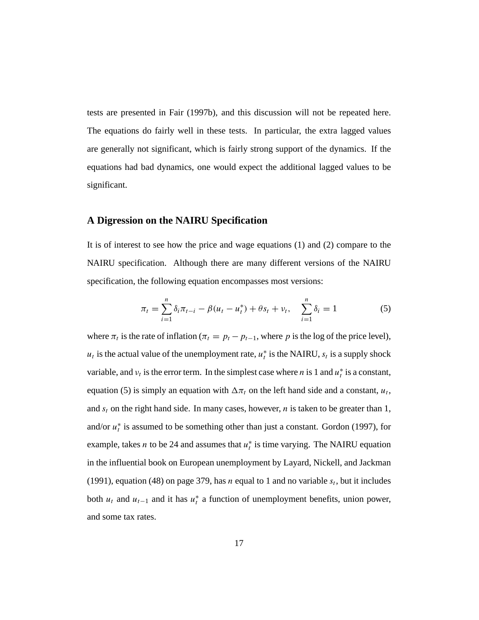tests are presented in Fair (1997b), and this discussion will not be repeated here. The equations do fairly well in these tests. In particular, the extra lagged values are generally not significant, which is fairly strong support of the dynamics. If the equations had bad dynamics, one would expect the additional lagged values to be significant.

### **A Digression on the NAIRU Specification**

It is of interest to see how the price and wage equations (1) and (2) compare to the NAIRU specification. Although there are many different versions of the NAIRU specification, the following equation encompasses most versions:

$$
\pi_t = \sum_{i=1}^n \delta_i \pi_{t-i} - \beta (u_t - u_t^*) + \theta s_t + v_t, \quad \sum_{i=1}^n \delta_i = 1 \tag{5}
$$

where  $\pi_t$  is the rate of inflation ( $\pi_t = p_t - p_{t-1}$ , where p is the log of the price level),  $u_t$  is the actual value of the unemployment rate,  $u_t^*$  is the NAIRU,  $s_t$  is a supply shock variable, and  $v_t$  is the error term. In the simplest case where *n* is 1 and  $u_t^*$  is a constant, equation (5) is simply an equation with  $\Delta \pi_t$  on the left hand side and a constant,  $u_t$ , and  $s_t$  on the right hand side. In many cases, however,  $n$  is taken to be greater than 1, and/or  $u_t^*$  is assumed to be something other than just a constant. Gordon (1997), for example, takes *n* to be 24 and assumes that  $u_t^*$  is time varying. The NAIRU equation in the influential book on European unemployment by Layard, Nickell, and Jackman (1991), equation (48) on page 379, has *n* equal to 1 and no variable  $s_t$ , but it includes both  $u_t$  and  $u_{t-1}$  and it has  $u_t^*$  a function of unemployment benefits, union power, and some tax rates.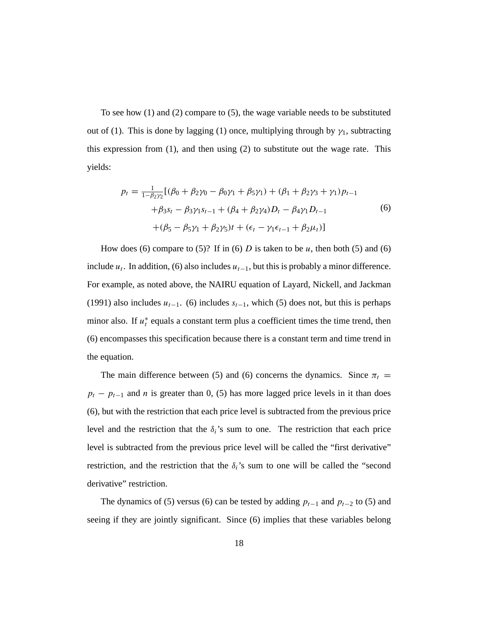To see how (1) and (2) compare to (5), the wage variable needs to be substituted out of (1). This is done by lagging (1) once, multiplying through by  $\gamma_1$ , subtracting this expression from (1), and then using (2) to substitute out the wage rate. This yields:

$$
p_{t} = \frac{1}{1 - \beta_{2}\gamma_{2}} [(\beta_{0} + \beta_{2}\gamma_{0} - \beta_{0}\gamma_{1} + \beta_{5}\gamma_{1}) + (\beta_{1} + \beta_{2}\gamma_{3} + \gamma_{1})p_{t-1} + \beta_{3}s_{t} - \beta_{3}\gamma_{1}s_{t-1} + (\beta_{4} + \beta_{2}\gamma_{4})D_{t} - \beta_{4}\gamma_{1}D_{t-1} + (\beta_{5} - \beta_{5}\gamma_{1} + \beta_{2}\gamma_{5})t + (\epsilon_{t} - \gamma_{1}\epsilon_{t-1} + \beta_{2}\mu_{t})]
$$
\n(6)

How does (6) compare to (5)? If in (6)  $D$  is taken to be  $u$ , then both (5) and (6) include  $u_t$ . In addition, (6) also includes  $u_{t-1}$ , but this is probably a minor difference. For example, as noted above, the NAIRU equation of Layard, Nickell, and Jackman (1991) also includes  $u_{t-1}$ . (6) includes  $s_{t-1}$ , which (5) does not, but this is perhaps minor also. If  $u_t^*$  equals a constant term plus a coefficient times the time trend, then (6) encompasses this specification because there is a constant term and time trend in the equation.

The main difference between (5) and (6) concerns the dynamics. Since  $\pi_t$  =  $p_t - p_{t-1}$  and *n* is greater than 0, (5) has more lagged price levels in it than does (6), but with the restriction that each price level is subtracted from the previous price level and the restriction that the  $\delta_i$ 's sum to one. The restriction that each price level is subtracted from the previous price level will be called the "first derivative" restriction, and the restriction that the  $\delta_i$ 's sum to one will be called the "second derivative" restriction.

The dynamics of (5) versus (6) can be tested by adding  $p_{t-1}$  and  $p_{t-2}$  to (5) and seeing if they are jointly significant. Since (6) implies that these variables belong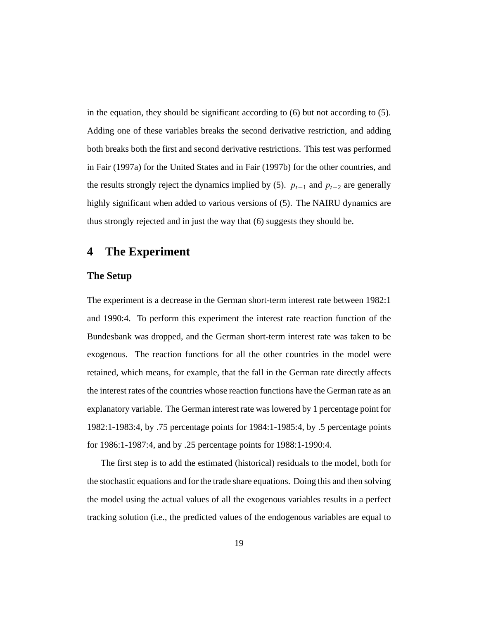in the equation, they should be significant according to  $(6)$  but not according to  $(5)$ . Adding one of these variables breaks the second derivative restriction, and adding both breaks both the first and second derivative restrictions. This test was performed in Fair (1997a) for the United States and in Fair (1997b) for the other countries, and the results strongly reject the dynamics implied by (5).  $p_{t-1}$  and  $p_{t-2}$  are generally highly significant when added to various versions of (5). The NAIRU dynamics are thus strongly rejected and in just the way that (6) suggests they should be.

# **4 The Experiment**

#### **The Setup**

The experiment is a decrease in the German short-term interest rate between 1982:1 and 1990:4. To perform this experiment the interest rate reaction function of the Bundesbank was dropped, and the German short-term interest rate was taken to be exogenous. The reaction functions for all the other countries in the model were retained, which means, for example, that the fall in the German rate directly affects the interest rates of the countries whose reaction functions have the German rate as an explanatory variable. The German interest rate was lowered by 1 percentage point for 1982:1-1983:4, by .75 percentage points for 1984:1-1985:4, by .5 percentage points for 1986:1-1987:4, and by .25 percentage points for 1988:1-1990:4.

The first step is to add the estimated (historical) residuals to the model, both for the stochastic equations and for the trade share equations. Doing this and then solving the model using the actual values of all the exogenous variables results in a perfect tracking solution (i.e., the predicted values of the endogenous variables are equal to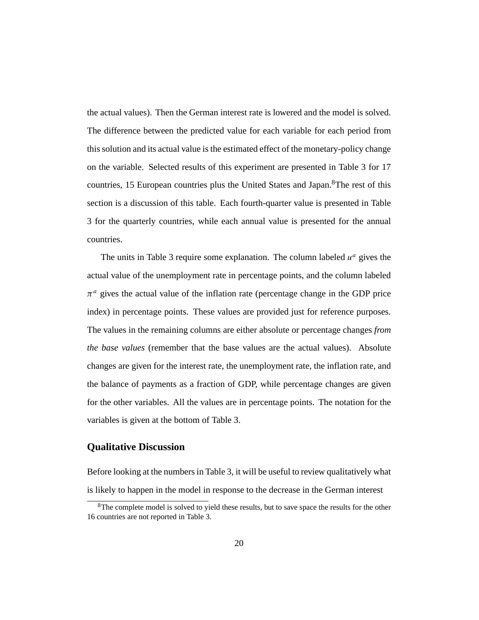the actual values). Then the German interest rate is lowered and the model is solved. The difference between the predicted value for each variable for each period from this solution and its actual value is the estimated effect of the monetary-policy change on the variable. Selected results of this experiment are presented in Table 3 for 17 countries, 15 European countries plus the United States and Japan.<sup>8</sup>The rest of this section is a discussion of this table. Each fourth-quarter value is presented in Table 3 for the quarterly countries, while each annual value is presented for the annual countries.

The units in Table 3 require some explanation. The column labeled *u<sup>a</sup>* gives the actual value of the unemployment rate in percentage points, and the column labeled  $\pi^a$  gives the actual value of the inflation rate (percentage change in the GDP price index) in percentage points. These values are provided just for reference purposes. The values in the remaining columns are either absolute or percentage changes *from the base values* (remember that the base values are the actual values). Absolute changes are given for the interest rate, the unemployment rate, the inflation rate, and the balance of payments as a fraction of GDP, while percentage changes are given for the other variables. All the values are in percentage points. The notation for the variables is given at the bottom of Table 3.

### **Qualitative Discussion**

Before looking at the numbers in Table 3, it will be useful to review qualitatively what is likely to happen in the model in response to the decrease in the German interest

<sup>&</sup>lt;sup>8</sup>The complete model is solved to yield these results, but to save space the results for the other 16 countries are not reported in Table 3.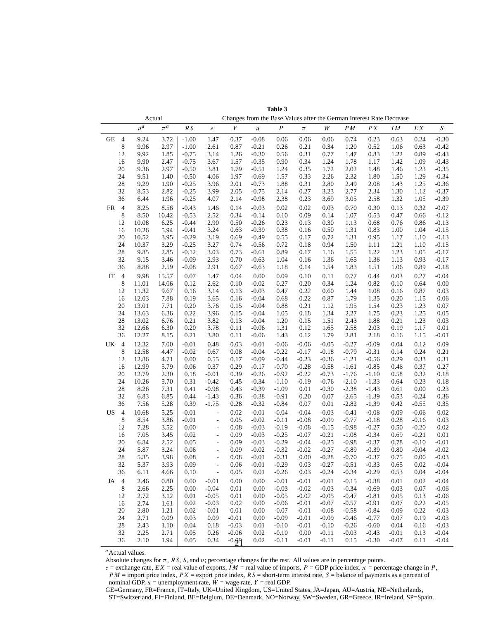| Actual<br>Changes from the Base Values after the German Interest Rate Decrease |                |              |                         |                          |              |                            |              |              |              |              |                    |              |              |                  |
|--------------------------------------------------------------------------------|----------------|--------------|-------------------------|--------------------------|--------------|----------------------------|--------------|--------------|--------------|--------------|--------------------|--------------|--------------|------------------|
|                                                                                | $u^a$          | $\pi^a$      | $\mathbb{R} \mathbb{S}$ | $\boldsymbol{e}$         | Y            | $\boldsymbol{\mathcal{U}}$ | $\cal P$     | $\pi$        | W            | PM           | P X                | IM           | EX           | $\boldsymbol{S}$ |
| GE<br>$\overline{4}$                                                           | 9.24           | 3.72         | $-1.00$                 | 1.47                     | 0.37         | $-0.08$                    | 0.06         | 0.06         | 0.06         | 0.74         | 0.23               | 0.63         | 0.24         | $-0.30$          |
| 8                                                                              | 9.96           | 2.97         | $-1.00$                 | 2.61                     | 0.87         | $-0.21$                    | 0.26         | 0.21         | 0.34         | 1.20         | 0.52               | 1.06         | 0.63         | $-0.42$          |
| 12                                                                             | 9.92           | 1.85         | $-0.75$                 | 3.14                     | 1.26         | $-0.30$                    | 0.56         | 0.31         | 0.77         | 1.47         | 0.83               | 1.22         | 0.89         | $-0.43$          |
| 16                                                                             | 9.90           | 2.47         | $-0.75$                 | 3.67                     | 1.57         | $-0.35$                    | 0.90         | 0.34         | 1.24         | 1.78         | 1.17               | 1.42         | 1.09         | $-0.43$          |
| 20                                                                             | 9.36           | 2.97         | $-0.50$                 | 3.81                     | 1.79         | $-0.51$                    | 1.24         | 0.35         | 1.72         | 2.02         | 1.48               | 1.46         | 1.23         | $-0.35$          |
| 24                                                                             | 9.51           | 1.40         | $-0.50$                 | 4.06                     | 1.97         | $-0.69$                    | 1.57         | 0.33         | 2.26         | 2.32         | 1.80               | 1.50         | 1.29         | $-0.34$          |
| 28                                                                             | 9.29           | 1.90         | $-0.25$                 | 3.96                     | 2.01         | $-0.73$                    | 1.88         | 0.31         | 2.80         | 2.49         | 2.08               | 1.43         | 1.25         | $-0.36$          |
| 32                                                                             | 8.53           | 2.82         | $-0.25$                 | 3.99                     | 2.05         | $-0.75$                    | 2.14         | 0.27         | 3.23         | 2.77         | 2.34               | 1.30         | 1.12         | $-0.37$          |
| 36                                                                             | 6.44           | 1.96         | $-0.25$                 | 4.07                     | 2.14         | $-0.98$                    | 2.38         | 0.23         | 3.69         | 3.05         | 2.58               | 1.32         | 1.05         | $-0.39$          |
| $\overline{4}$<br><b>FR</b>                                                    | 8.25           | 8.56         | $-0.43$                 | 1.46                     | 0.14         | $-0.03$                    | 0.02         | 0.02         | 0.03         | 0.70         | 0.30               | 0.13         | 0.32         | $-0.07$          |
| 8                                                                              | 8.50           | 10.42        | $-0.53$                 | 2.52                     | 0.34         | $-0.14$                    | 0.10         | 0.09         | 0.14         | 1.07         | 0.53               | 0.47         | 0.66         | $-0.12$          |
| 12                                                                             | 10.08          | 6.25         | $-0.44$                 | 2.90                     | 0.50         | $-0.26$                    | 0.23         | 0.13         | 0.30         | 1.13         | 0.68               | 0.76         | 0.86         | $-0.13$          |
| 16                                                                             | 10.26          | 5.94         | $-0.41$                 | 3.24                     | 0.63         | $-0.39$                    | 0.38         | 0.16         | 0.50         | 1.31         | 0.83               | 1.00         | 1.04         | $-0.15$          |
| 20                                                                             | 10.52          | 3.95         | $-0.29$                 | 3.19                     | 0.69         | $-0.49$                    | 0.55         | 0.17         | 0.72         | 1.31         | 0.95               | 1.17         | 1.10         | $-0.13$          |
| 24                                                                             | 10.37          | 3.29         | $-0.25$                 | 3.27                     | 0.74         | $-0.56$                    | 0.72         | 0.18         | 0.94         | 1.50         | 1.11               | 1.21         | 1.10         | $-0.15$          |
| 28                                                                             | 9.85           | 2.85         | $-0.12$                 | 3.03                     | 0.73         | $-0.61$                    | 0.89         | 0.17         | 1.16         | 1.55         | 1.22               | 1.23         | 1.05         | $-0.17$          |
| 32                                                                             | 9.15           | 3.46         | $-0.09$                 | 2.93                     | 0.70         | $-0.63$                    | 1.04         | 0.16         | 1.36         | 1.65         | 1.36               | 1.13         | 0.93         | $-0.17$          |
| 36                                                                             | 8.88           | 2.59         | $-0.08$                 | 2.91                     | 0.67         | $-0.63$                    | 1.18         | 0.14         | 1.54         | 1.83         | 1.51               | 1.06         | 0.89         | $-0.18$          |
| $\overline{4}$<br>IT                                                           | 9.98           | 15.57        | 0.07                    | 1.47                     | 0.04         | 0.00                       | 0.09         | 0.10         | 0.11         | 0.77         | 0.44               | 0.03         | 0.27         | $-0.04$          |
| 8                                                                              | 11.01          | 14.06        | 0.12                    | 2.62                     | 0.10         | $-0.02$                    | 0.27         | 0.20         | 0.34         | 1.24         | 0.82               | 0.10         | 0.64         | 0.00             |
| 12                                                                             | 11.32          | 9.67         | 0.16                    | 3.14                     | 0.13         | $-0.03$                    | 0.47         | 0.22         | 0.60         | 1.44<br>1.79 | 1.08               | 0.16         | 0.87         | 0.03             |
| 16<br>20                                                                       | 12.03<br>13.01 | 7.88<br>7.71 | 0.19<br>0.20            | 3.65<br>3.76             | 0.16<br>0.15 | $-0.04$<br>$-0.04$         | 0.68<br>0.88 | 0.22<br>0.21 | 0.87<br>1.12 | 1.95         | 1.35<br>1.54       | 0.20<br>0.23 | 1.15<br>1.23 | 0.06<br>0.07     |
| 24                                                                             | 13.63          | 6.36         | 0.22                    | 3.96                     | 0.15         | $-0.04$                    | 1.05         | 0.18         | 1.34         | 2.27         | 1.75               | 0.23         | 1.25         | 0.05             |
| 28                                                                             | 13.02          | 6.76         | 0.21                    | 3.82                     | 0.13         | $-0.04$                    | 1.20         | 0.15         | 1.51         | 2.43         | 1.88               | 0.21         | 1.23         | 0.03             |
| 32                                                                             | 12.66          | 6.30         | 0.20                    | 3.78                     | 0.11         | $-0.06$                    | 1.31         | 0.12         | 1.65         | 2.58         | 2.03               | 0.19         | 1.17         | 0.01             |
| 36                                                                             | 12.27          | 8.15         | 0.21                    | 3.80                     | 0.11         | $-0.06$                    | 1.43         | 0.12         | 1.79         | 2.81         | 2.18               | 0.16         | 1.15         | $-0.01$          |
| $\overline{4}$<br>UK                                                           | 12.32          | 7.00         | $-0.01$                 | 0.48                     | 0.03         | $-0.01$                    | $-0.06$      | $-0.06$      | $-0.05$      | $-0.27$      | $-0.09$            | 0.04         | 0.12         | 0.09             |
| 8                                                                              | 12.58          | 4.47         | $-0.02$                 | 0.67                     | 0.08         | $-0.04$                    | $-0.22$      | $-0.17$      | $-0.18$      | $-0.79$      | $-0.31$            | 0.14         | 0.24         | 0.21             |
| 12                                                                             | 12.86          | 4.71         | 0.00                    | 0.55                     | 0.17         | $-0.09$                    | $-0.44$      | $-0.23$      | $-0.36$      | $-1.21$      | $-0.56$            | 0.29         | 0.33         | 0.31             |
| 16                                                                             | 12.99          | 5.79         | 0.06                    | 0.37                     | 0.29         | $-0.17$                    | $-0.70$      | $-0.28$      | $-0.58$      | $-1.61$      | $-0.85$            | 0.46         | 0.37         | 0.27             |
| 20                                                                             | 12.79          | 2.30         | 0.18                    | $-0.01$                  | 0.39         | $-0.26$                    | $-0.92$      | $-0.22$      | $-0.73$      | $-1.76$      | $-1.10$            | 0.58         | 0.32         | 0.18             |
| 24                                                                             | 10.26          | 5.70         | 0.31                    | $-0.42$                  | 0.45         | $-0.34$                    | $-1.10$      | $-0.19$      | $-0.76$      | $-2.10$      | $-1.33$            | 0.64         | 0.23         | 0.18             |
| 28                                                                             | 8.26           | 7.31         | 0.41                    | $-0.98$                  | 0.43         | $-0.39$                    | $-1.09$      | 0.01         | $-0.30$      | $-2.38$      | $-1.43$            | 0.61         | 0.00         | 0.23             |
| 32                                                                             | 6.83           | 6.85         | 0.44                    | $-1.43$                  | 0.36         | $-0.38$                    | $-0.91$      | 0.20         | 0.07         | $-2.65$      | $-1.39$            | 0.53         | $-0.24$      | 0.36             |
| 36                                                                             | 7.56           | 5.28         | 0.39                    | $-1.75$                  | 0.28         | $-0.32$                    | $-0.84$      | 0.07         | 0.01         | $-2.82$      | $-1.39$            | 0.42         | $-0.55$      | 0.35             |
| $\overline{4}$<br>US                                                           | 10.68          | 5.25         | $-0.01$                 | ÷,                       | 0.02         | $-0.01$                    | $-0.04$      | $-0.04$      | $-0.03$      | $-0.41$      | $-0.08$            | 0.09         | $-0.06$      | 0.02             |
| 8                                                                              | 8.54           | 3.86         | $-0.01$                 | ÷,                       | 0.05         | $-0.02$                    | $-0.11$      | $-0.08$      | $-0.09$      | $-0.77$      | $-0.18$            | 0.28         | $-0.16$      | 0.03             |
| 12                                                                             | 7.28           | 3.52         | 0.00                    | $\Box$                   | 0.08         | $-0.03$                    | $-0.19$      | $-0.08$      | $-0.15$      | $-0.98$      | $-0.27$            | 0.50         | $-0.20$      | 0.02             |
| 16                                                                             | 7.05           | 3.45         | $0.02\,$                | $\overline{\phantom{a}}$ | 0.09         | $-0.03$                    | $-0.25$      | $-0.07$      | $-0.21$      | $-1.08$      | $-0.34$            | 0.69         | $-0.21$      | $0.01\,$         |
| 20                                                                             | 6.84           | 2.52         | 0.05                    | $\overline{\phantom{a}}$ | 0.09         | $-0.03$                    | $-0.29$      | $-0.04$      | $-0.25$      | $-0.98$      | $-0.37$            | 0.78         | $-0.10$      | $-0.01$          |
| 24                                                                             | 5.87           | 3.24         | 0.06                    | $\bar{a}$                | 0.09         | $-0.02$                    | $-0.32$      | $-0.02$      | $-0.27$      | $-0.89$      | $-0.39$            | 0.80         | $-0.04$      | $-0.02$          |
| 28                                                                             | 5.35           | 3.98         | 0.08                    | $\sim$                   | 0.08         | $-0.01$                    | $-0.31$      | 0.00         | $-0.28$      | $-0.70$      | $-0.37$            | 0.75         | 0.00         | $-0.03$          |
| 32                                                                             | 5.37           | 3.93         | 0.09                    |                          | 0.06         | $-0.01$                    | $-0.29$      | 0.03         | $-0.27$      | $-0.51$      | $-0.33$            | 0.65         | 0.02         | $-0.04$          |
| 36                                                                             | 6.11           | 4.66         | 0.10                    | $\overline{\phantom{a}}$ | 0.05         | 0.01                       | $-0.26$      | 0.03         | $-0.24$      | $-0.34$      | $-0.29$            | 0.53         | 0.04         | $-0.04$          |
| JA 4                                                                           | 2.46           | 0.80         | 0.00                    | $-0.01$                  | 0.00         | 0.00                       | $-0.01$      | $-0.01$      | $-0.01$      | $-0.15$      | $-0.38$            | 0.01         | 0.02         | $-0.04$          |
| $\,8\,$                                                                        | 2.66           | 2.25         | 0.00                    | $-0.04$                  | 0.01         | 0.00                       | $-0.03$      | $-0.02$      | $-0.03$      | $-0.34$      | $-0.69$            | 0.03         | 0.07         | $-0.06$          |
| 12                                                                             | 2.72           | 3.12         | 0.01                    | $-0.05$                  | 0.01         | 0.00                       | $-0.05$      | $-0.02$      | $-0.05$      | $-0.47$      | $-0.81$            | 0.05         | 0.13         | $-0.06$          |
| 16                                                                             | 2.74           | 1.61         | 0.02                    | $-0.03$                  | 0.02         | 0.00                       | $-0.06$      | $-0.01$      | $-0.07$      | $-0.57$      | $-0.91$            | 0.07         | 0.22         | $-0.05$          |
| 20                                                                             | 2.80           | 1.21         | 0.02                    | 0.01                     | 0.01         | 0.00                       | $-0.07$      | $-0.01$      | $-0.08$      | $-0.58$      | $-0.84$            | 0.09         | 0.22         | $-0.03$          |
| 24                                                                             | 2.71           | 0.09         | 0.03                    | 0.09                     | $-0.01$      | 0.00                       | $-0.09$      | $-0.01$      | $-0.09$      | $-0.46$      | $-0.77$            | 0.07         | 0.19         | $-0.03$          |
| 28                                                                             | 2.43           | 1.10         | 0.04                    | 0.18                     | $-0.03$      | 0.01                       | $-0.10$      | $-0.01$      | $-0.10$      | $-0.26$      | $-0.60$            | 0.04         | 0.16         | $-0.03$          |
| 32                                                                             | 2.25           | 2.71         | 0.05                    | 0.26                     | $-0.06$      | 0.02                       | $-0.10$      | 0.00         | $-0.11$      | $-0.03$      | $-0.43$<br>$-0.30$ | $-0.01$      | 0.13<br>0.11 | $-0.04$          |
| 36                                                                             | 2.10           | 1.94         | 0.05                    | 0.34                     | $-0.09$      | 0.02                       | $-0.11$      | $-0.01$      | $-0.11$      | 0.15         |                    | $-0.07$      |              | $-0.04$          |

**Table 3**

<sup>*a*</sup>Actual values.

Absolute changes for  $\pi$ ,  $RS$ ,  $S$ , and  $u$ ; percentage changes for the rest. All values are in percentage points.

 $e =$  exchange rate,  $EX =$  real value of exports,  $IM =$  real value of imports,  $P =$  GDP price index,  $\pi =$  percentage change in *P*, *PM* = import price index, *PX* = export price index, *RS* = short-term interest rate, *S* = balance of payments as a percent of nominal GDP,  $u =$  unemployment rate,  $\dot{W} =$  wage rate,  $Y =$  real GDP.

GE=Germany, FR=France, IT=Italy, UK=United Kingdom, US=United States, JA=Japan, AU=Austria, NE=Netherlands,

ST=Switzerland, FI=Finland, BE=Belgium, DE=Denmark, NO=Norway, SW=Sweden, GR=Greece, IR=Ireland, SP=Spain.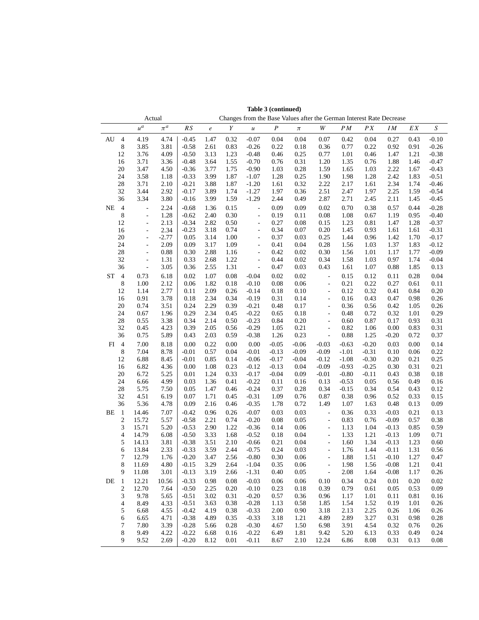|                             | Actual         |              |                         |                  |                  |                          |              |              | Changes from the Base Values after the German Interest Rate Decrease |              |              |                    |              |                  |
|-----------------------------|----------------|--------------|-------------------------|------------------|------------------|--------------------------|--------------|--------------|----------------------------------------------------------------------|--------------|--------------|--------------------|--------------|------------------|
|                             | $u^a$          | $\pi^a$      | $\mathbb{R} \mathbb{S}$ | $\boldsymbol{e}$ | $\boldsymbol{Y}$ | $\boldsymbol{u}$         | $\cal P$     | $\pi$        | W                                                                    | PM           | PX           | IM                 | EX           | $\boldsymbol{S}$ |
| $\overline{4}$<br>AU        | 4.19           | 4.74         | $-0.45$                 | 1.47             | 0.32             | $-0.07$                  | 0.04         | 0.04         | 0.07                                                                 | 0.42         | 0.04         | 0.27               | 0.43         | $-0.10$          |
| 8                           | 3.85           | 3.81         | $-0.58$                 | 2.61             | 0.83             | $-0.26$                  | 0.22         | 0.18         | 0.36                                                                 | 0.77         | 0.22         | 0.92               | 0.91         | $-0.26$          |
| 12                          | 3.76           | 4.09         | $-0.50$                 | 3.13             | 1.23             | $-0.48$                  | 0.46         | 0.25         | 0.77                                                                 | 1.01         | 0.46         | 1.47               | 1.21         | $-0.38$          |
| 16                          | 3.71           | 3.36         | $-0.48$                 | 3.64             | 1.55             | $-0.70$                  | 0.76         | 0.31         | 1.20                                                                 | 1.35         | 0.76         | 1.88               | 1.46         | $-0.47$          |
| 20                          | 3.47           | 4.50         | $-0.36$                 | 3.77             | 1.75             | $-0.90$                  | 1.03         | 0.28         | 1.59                                                                 | 1.65         | 1.03         | 2.22               | 1.67         | $-0.43$          |
| 24                          | 3.58           | 1.18         | $-0.33$                 | 3.99             | 1.87             | $-1.07$                  | 1.28         | 0.25         | 1.90                                                                 | 1.98         | 1.28         | 2.42               | 1.83         | $-0.51$          |
| 28                          | 3.71           | 2.10         | $-0.21$                 | 3.88             | 1.87             | $-1.20$                  | 1.61         | 0.32         | 2.22                                                                 | 2.17         | 1.61         | 2.34               | 1.74         | $-0.46$          |
| 32                          | 3.44           | 2.92         | $-0.17$                 | 3.89             | 1.74             | $-1.27$                  | 1.97         | 0.36         | 2.51                                                                 | 2.47         | 1.97         | 2.25               | 1.59         | $-0.54$          |
| 36                          | 3.34           | 3.80         | $-0.16$                 | 3.99             | 1.59             | $-1.29$                  | 2.44         | 0.49         | 2.87                                                                 | 2.71         | 2.45         | 2.11               | 1.45         | $-0.45$          |
| $\overline{4}$<br>NE        | $\Box$         | 2.24         | $-0.68$                 | 1.36             | 0.15             | $\Box$                   | 0.09         | 0.09         | 0.02                                                                 | 0.70         | 0.38         | 0.57               | 0.44         | $-0.28$          |
| 8                           | ÷,             | 1.28         | $-0.62$                 | 2.40             | 0.30             | $\Box$                   | 0.19         | 0.11         | 0.08                                                                 | 1.08         | 0.67         | 1.19               | 0.95         | $-0.40$          |
| 12                          | ÷,             | 2.13         | $-0.34$                 | 2.82             | 0.50             | $\overline{\phantom{a}}$ | 0.27         | 0.08         | 0.15                                                                 | 1.23         | 0.81         | 1.47               | 1.28         | $-0.37$          |
| 16                          | $\Box$         | 2.34         | $-0.23$                 | 3.18             | 0.74             | $\Box$                   | 0.34         | 0.07         | 0.20                                                                 | 1.45         | 0.93         | 1.61               | 1.61         | $-0.31$          |
| $20\,$                      | $\blacksquare$ | $-2.77$      | 0.05                    | 3.14             | 1.00             | $\overline{\phantom{a}}$ | 0.37         | 0.03         | 0.25                                                                 | 1.44         | 0.96         | 1.42               | 1.70         | $-0.17$          |
| 24                          | ÷,             | 2.09         | 0.09                    | 3.17             | 1.09             | $\overline{\phantom{a}}$ | 0.41         | 0.04         | 0.28                                                                 | 1.56         | 1.03         | 1.37               | 1.83         | $-0.12$          |
| 28                          | $\blacksquare$ | 0.88         | 0.30                    | 2.88             | 1.16             | $\overline{\phantom{a}}$ | 0.42         | 0.02         | 0.30                                                                 | 1.56         | 1.01         | 1.17               | 1.77         | $-0.09$          |
| 32                          | $\Box$         | 1.31         | 0.33                    | 2.68             | 1.22             | $\blacksquare$           | 0.44         | 0.02         | 0.34                                                                 | 1.58         | 1.03         | 0.97               | 1.74         | $-0.04$          |
| 36                          | $\Box$         | 3.05         | 0.36                    | 2.55             | 1.31             | $\bar{\phantom{a}}$      | 0.47         | 0.03         | 0.43                                                                 | 1.61         | 1.07         | 0.88               | 1.85         | 0.13             |
| $\overline{4}$<br><b>ST</b> | 0.73           | 6.18         | 0.02                    | 1.07             | 0.08             | $-0.04$                  | 0.02         | 0.02         | $\Box$                                                               | 0.15         | 0.12         | 0.11               | 0.28         | 0.04             |
| 8                           | 1.00           | 2.12         | 0.06                    | 1.82             | 0.18             | $-0.10$                  | 0.08         | 0.06         | $\Box$                                                               | 0.21         | 0.22         | 0.27               | 0.61         | 0.11             |
| 12                          | 1.14           | 2.77         | 0.11                    | 2.09             | 0.26             | $-0.14$                  | 0.18         | 0.10         | $\Box$                                                               | 0.12         | 0.32         | 0.41               | 0.84         | 0.20             |
| 16                          | 0.91           | 3.78         | 0.18                    | 2.34             | 0.34             | $-0.19$                  | 0.31         | 0.14         | $\overline{\phantom{a}}$                                             | 0.16         | 0.43         | 0.47               | 0.98         | 0.26             |
| 20                          | 0.74           | 3.51         | 0.24                    | 2.29             | 0.39             | $-0.21$                  | 0.48         | 0.17         | $\Box$                                                               | 0.36         | 0.56         | 0.42               | 1.05         | 0.26             |
| 24                          | 0.67<br>0.55   | 1.96         | 0.29<br>0.34            | 2.34<br>2.14     | 0.45             | $-0.22$                  | 0.65         | 0.18         | $\overline{\phantom{a}}$                                             | 0.48         | 0.72         | 0.32               | 1.01         | 0.29             |
| 28<br>32                    | 0.45           | 3.38<br>4.23 | 0.39                    | 2.05             | 0.50<br>0.56     | $-0.23$<br>$-0.29$       | 0.84<br>1.05 | 0.20<br>0.21 | $\Box$<br>$\Box$                                                     | 0.60<br>0.82 | 0.87<br>1.06 | 0.17<br>0.00       | 0.93<br>0.83 | 0.31<br>0.31     |
| 36                          | 0.75           | 5.89         | 0.43                    | 2.03             | 0.59             | $-0.38$                  | 1.26         | 0.23         | $\Box$                                                               | 0.88         | 1.25         | $-0.20$            | 0.72         | 0.37             |
| $\overline{4}$<br>FI        | 7.00           | 8.18         | 0.00                    | 0.22             | 0.00             | $0.00\,$                 | $-0.05$      | $-0.06$      | $-0.03$                                                              | $-0.63$      | $-0.20$      | 0.03               | 0.00         | 0.14             |
| 8                           | 7.04           | 8.78         | $-0.01$                 | 0.57             | 0.04             | $-0.01$                  | $-0.13$      | $-0.09$      | $-0.09$                                                              | $-1.01$      | $-0.31$      | 0.10               | 0.06         | 0.22             |
| 12                          | 6.88           | 8.45         | $-0.01$                 | 0.85             | 0.14             | $-0.06$                  | $-0.17$      | $-0.04$      | $-0.12$                                                              | $-1.08$      | $-0.30$      | 0.20               | 0.21         | 0.25             |
| 16                          | 6.82           | 4.36         | 0.00                    | 1.08             | 0.23             | $-0.12$                  | $-0.13$      | 0.04         | $-0.09$                                                              | $-0.93$      | $-0.25$      | 0.30               | 0.31         | 0.21             |
| 20                          | 6.72           | 5.25         | $0.01\,$                | 1.24             | 0.33             | $-0.17$                  | $-0.04$      | 0.09         | $-0.01$                                                              | $-0.80$      | $-0.11$      | 0.43               | 0.38         | 0.18             |
| 24                          | 6.66           | 4.99         | 0.03                    | 1.36             | 0.41             | $-0.22$                  | 0.11         | 0.16         | 0.13                                                                 | $-0.53$      | 0.05         | 0.56               | 0.49         | 0.16             |
| 28                          | 5.75           | 7.50         | 0.05                    | 1.47             | 0.46             | $-0.24$                  | 0.37         | 0.28         | 0.34                                                                 | $-0.15$      | 0.34         | 0.54               | 0.43         | 0.12             |
| 32                          | 4.51           | 6.19         | 0.07                    | 1.71             | 0.45             | $-0.31$                  | 1.09         | 0.76         | 0.87                                                                 | 0.38         | 0.96         | 0.52               | 0.33         | 0.15             |
| 36                          | 5.36           | 4.78         | 0.09                    | 2.16             | 0.46             | $-0.35$                  | 1.78         | 0.72         | 1.49                                                                 | 1.07         | 1.63         | 0.48               | 0.13         | 0.09             |
| $\overline{1}$<br>BE        | 14.46          | 7.07         | $-0.42$                 | 0.96             | 0.26             | $-0.07$                  | 0.03         | 0.03         | $\Box$                                                               | 0.36         | 0.33         | $-0.03$            | 0.21         | 0.13             |
| $\overline{c}$              | 15.72<br>15.71 | 5.57         | $-0.58$                 | 2.21             | 0.74             | $-0.20$                  | 0.08         | 0.05<br>0.06 | $\overline{\phantom{a}}$                                             | 0.83         | 0.76         | $-0.09$            | 0.57         | 0.38             |
| 3<br>4                      | 14.79          | 5.20<br>6.08 | $-0.53$<br>$-0.50$      | 2.90<br>3.33     | 1.22<br>1.68     | $-0.36$<br>$-0.52$       | 0.14<br>0.18 | 0.04         | $\blacksquare$                                                       | 1.13<br>1.33 | 1.04<br>1.21 | $-0.13$<br>$-0.13$ | 0.85         | 0.59<br>0.71     |
| 5                           | 14.13          | 3.81         | $-0.38$                 | 3.51             | 2.10             | $-0.66$                  | 0.21         | 0.04         | $\overline{\phantom{a}}$<br>$\overline{\phantom{a}}$                 | 1.60         | 1.34         | $-0.13$            | 1.09<br>1.23 | 0.60             |
| 6                           | 13.84          | 2.33         | $-0.33$                 | 3.59             | 2.44             | $-0.75$                  | 0.24         | 0.03         | $\blacksquare$                                                       | 1.76         | 1.44         | $-0.11$            | 1.31         | 0.56             |
| 7                           | 12.79          | 1.76         | $-0.20$                 | 3.47             | 2.56             | $-0.80$                  | 0.30         | 0.06         | $\overline{\phantom{a}}$                                             | 1.88         | 1.51         | $-0.10$            | 1.27         | 0.47             |
| 8                           | 11.69          | 4.80         | $-0.15$                 | 3.29             | 2.64             | $-1.04$                  | 0.35         | 0.06         |                                                                      | 1.98         | 1.56         | $-0.08$            | 1.21         | 0.41             |
| 9                           | 11.08          | 3.01         | $-0.13$                 | 3.19             | 2.66             | $-1.31$                  | 0.40         | 0.05         | $\sim 10^{-1}$                                                       | 2.08         | 1.64         | $-0.08$            | 1.17         | 0.26             |
| $\overline{1}$<br>DE        | 12.21          | 10.56        | $-0.33$                 | 0.98             | $0.08\,$         | $-0.03$                  | 0.06         | 0.06         | 0.10                                                                 | 0.34         | 0.24         | 0.01               | 0.20         | 0.02             |
| $\overline{c}$              | 12.70          | 7.64         | $-0.50$                 | 2.25             | 0.20             | $-0.10$                  | 0.23         | 0.18         | 0.39                                                                 | 0.79         | 0.61         | 0.05               | 0.53         | 0.09             |
| 3                           | 9.78           | 5.65         | $-0.51$                 | 3.02             | 0.31             | $-0.20$                  | 0.57         | 0.36         | 0.96                                                                 | 1.17         | 1.01         | 0.11               | 0.81         | 0.16             |
| 4                           | 8.49           | 4.33         | $-0.51$                 | 3.63             | 0.38             | $-0.28$                  | 1.13         | 0.58         | 1.85                                                                 | 1.54         | 1.52         | 0.19               | 1.01         | 0.26             |
| 5                           | 6.68           | 4.55         | $-0.42$                 | 4.19             | 0.38             | $-0.33$                  | 2.00         | 0.90         | 3.18                                                                 | 2.13         | 2.25         | 0.26               | 1.06         | 0.26             |
| 6                           | 6.65           | 4.71         | $-0.38$                 | 4.89             | 0.35             | $-0.33$                  | 3.18         | 1.21         | 4.89                                                                 | 2.89         | 3.27         | 0.31               | 0.98         | 0.28             |
| 7                           | 7.80           | 3.39         | $-0.28$                 | 5.66             | 0.28             | $-0.30$                  | 4.67         | 1.50         | 6.98                                                                 | 3.91         | 4.54         | 0.32               | 0.76         | 0.26             |
| $\bf 8$                     | 9.49           | 4.22         | $-0.22$                 | 6.68             | 0.16             | $-0.22$                  | 6.49         | 1.81         | 9.42                                                                 | 5.20         | 6.13         | 0.33               | 0.49         | 0.24             |
| 9                           | 9.52           | 2.69         | $-0.20$                 | 8.12             | 0.01             | $-0.11$                  | 8.67         | 2.10         | 12.24                                                                | 6.86         | 8.08         | 0.31               | 0.13         | 0.08             |

**Table 3 (continued)**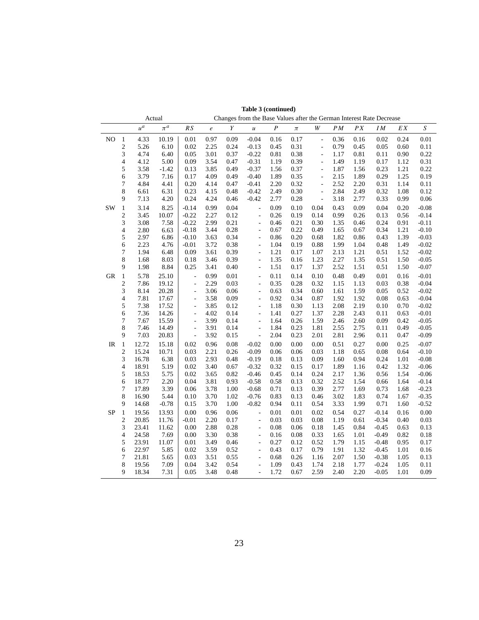|           |                         |       | Actual  |                          |                  |                  | Changes from the Base Values after the German Interest Rate Decrease |                  |       |                          |      |      |         |                   |                  |  |  |  |  |  |
|-----------|-------------------------|-------|---------|--------------------------|------------------|------------------|----------------------------------------------------------------------|------------------|-------|--------------------------|------|------|---------|-------------------|------------------|--|--|--|--|--|
|           |                         | $u^a$ | $\pi^a$ | RS                       | $\boldsymbol{e}$ | $\boldsymbol{Y}$ | $\boldsymbol{u}$                                                     | $\boldsymbol{P}$ | $\pi$ | $\ensuremath{W}$         | PM   | P X  | IM      | $\mathbb{E} \, X$ | $\boldsymbol{S}$ |  |  |  |  |  |
| NO        | $\mathbf{1}$            | 4.33  | 10.19   | 0.01                     | 0.97             | 0.09             | $-0.04$                                                              | 0.16             | 0.17  | $\overline{\phantom{a}}$ | 0.36 | 0.16 | 0.02    | 0.24              | 0.01             |  |  |  |  |  |
|           | $\overline{c}$          | 5.26  | 6.10    | 0.02                     | 2.25             | 0.24             | $-0.13$                                                              | 0.45             | 0.31  | $\Box$                   | 0.79 | 0.45 | 0.05    | 0.60              | 0.11             |  |  |  |  |  |
|           | 3                       | 4.74  | 6.40    | 0.05                     | 3.01             | 0.37             | $-0.22$                                                              | 0.81             | 0.38  | ÷,                       | 1.17 | 0.81 | 0.11    | 0.90              | 0.22             |  |  |  |  |  |
|           | $\overline{4}$          | 4.12  | 5.00    | 0.09                     | 3.54             | 0.47             | $-0.31$                                                              | 1.19             | 0.39  | ä,                       | 1.49 | 1.19 | 0.17    | 1.12              | 0.31             |  |  |  |  |  |
|           | 5                       | 3.58  | $-1.42$ | 0.13                     | 3.85             | 0.49             | $-0.37$                                                              | 1.56             | 0.37  | $\blacksquare$           | 1.87 | 1.56 | 0.23    | 1.21              | 0.22             |  |  |  |  |  |
|           | 6                       | 3.79  | 7.16    | 0.17                     | 4.09             | 0.49             | $-0.40$                                                              | 1.89             | 0.35  | $\Box$                   | 2.15 | 1.89 | 0.29    | 1.25              | 0.19             |  |  |  |  |  |
|           | 7                       | 4.84  | 4.41    | 0.20                     | 4.14             | 0.47             | $-0.41$                                                              | 2.20             | 0.32  | ÷,                       | 2.52 | 2.20 | 0.31    | 1.14              | 0.11             |  |  |  |  |  |
|           | 8                       | 6.61  | 6.31    | 0.23                     | 4.15             | 0.48             | $-0.42$                                                              | 2.49             | 0.30  | ÷,                       | 2.84 | 2.49 | 0.32    | 1.08              | 0.12             |  |  |  |  |  |
|           | 9                       | 7.13  | 4.20    | 0.24                     | 4.24             | 0.46             | $-0.42$                                                              | 2.77             | 0.28  | $\overline{\phantom{a}}$ | 3.18 | 2.77 | 0.33    | 0.99              | 0.06             |  |  |  |  |  |
| SW        | $\,1\,$                 | 3.14  | 8.25    | $-0.14$                  | 0.99             | 0.04             | ÷,                                                                   | 0.09             | 0.10  | 0.04                     | 0.43 | 0.09 | 0.04    | 0.20              | $-0.08$          |  |  |  |  |  |
|           | $\overline{c}$          | 3.45  | 10.07   | $-0.22$                  | 2.27             | 0.12             | ä,                                                                   | 0.26             | 0.19  | 0.14                     | 0.99 | 0.26 | 0.13    | 0.56              | $-0.14$          |  |  |  |  |  |
|           | 3                       | 3.08  | 7.58    | $-0.22$                  | 2.99             | 0.21             | $\overline{\phantom{a}}$                                             | 0.46             | 0.21  | 0.30                     | 1.35 | 0.46 | 0.24    | 0.91              | $-0.11$          |  |  |  |  |  |
|           | $\overline{4}$          | 2.80  | 6.63    | $-0.18$                  | 3.44             | 0.28             | $\overline{\phantom{a}}$                                             | 0.67             | 0.22  | 0.49                     | 1.65 | 0.67 | 0.34    | 1.21              | $-0.10$          |  |  |  |  |  |
|           | 5                       | 2.97  | 6.86    | $-0.10$                  | 3.63             | 0.34             | ä,                                                                   | 0.86             | 0.20  | 0.68                     | 1.82 | 0.86 | 0.43    | 1.39              | $-0.03$          |  |  |  |  |  |
|           | 6                       | 2.23  | 4.76    | $-0.01$                  | 3.72             | 0.38             | $\overline{a}$                                                       | 1.04             | 0.19  | 0.88                     | 1.99 | 1.04 | 0.48    | 1.49              | $-0.02$          |  |  |  |  |  |
|           | 7                       | 1.94  | 6.48    | 0.09                     | 3.61             | 0.39             | $\blacksquare$                                                       | 1.21             | 0.17  | 1.07                     | 2.13 | 1.21 | 0.51    | 1.52              | $-0.02$          |  |  |  |  |  |
|           | 8                       | 1.68  | 8.03    | 0.18                     | 3.46             | 0.39             | $\overline{\phantom{a}}$                                             | 1.35             | 0.16  | 1.23                     | 2.27 | 1.35 | 0.51    | 1.50              | $-0.05$          |  |  |  |  |  |
|           | 9                       | 1.98  | 8.84    | 0.25                     | 3.41             | 0.40             | $\Box$                                                               | 1.51             | 0.17  | 1.37                     | 2.52 | 1.51 | 0.51    | 1.50              | $-0.07$          |  |  |  |  |  |
| <b>GR</b> | $\,1\,$                 | 5.78  | 25.10   | $\overline{a}$           | 0.99             | 0.01             | ä,                                                                   | 0.11             | 0.14  | 0.10                     | 0.48 | 0.49 | 0.01    | 0.16              | $-0.01$          |  |  |  |  |  |
|           | $\overline{c}$          | 7.86  | 19.12   | $\overline{a}$           | 2.29             | 0.03             | $\overline{\phantom{a}}$                                             | 0.35             | 0.28  | 0.32                     | 1.15 | 1.13 | 0.03    | 0.38              | $-0.04$          |  |  |  |  |  |
|           | 3                       | 8.14  | 20.28   | ÷,                       | 3.06             | 0.06             | $\overline{\phantom{a}}$                                             | 0.63             | 0.34  | 0.60                     | 1.61 | 1.59 | 0.05    | 0.52              | $-0.02$          |  |  |  |  |  |
|           | $\overline{4}$          | 7.81  | 17.67   | $\overline{a}$           | 3.58             | 0.09             | $\overline{\phantom{a}}$                                             | 0.92             | 0.34  | 0.87                     | 1.92 | 1.92 | 0.08    | 0.63              | $-0.04$          |  |  |  |  |  |
|           | 5                       | 7.38  | 17.52   | ÷,                       | 3.85             | 0.12             | $\blacksquare$                                                       | 1.18             | 0.30  | 1.13                     | 2.08 | 2.19 | 0.10    | 0.70              | $-0.02$          |  |  |  |  |  |
|           | 6                       | 7.36  | 14.26   | ÷,                       | 4.02             | 0.14             | $\overline{\phantom{a}}$                                             | 1.41             | 0.27  | 1.37                     | 2.28 | 2.43 | 0.11    | 0.63              | $-0.01$          |  |  |  |  |  |
|           | $\boldsymbol{7}$        | 7.67  | 15.59   | $\overline{\phantom{a}}$ | 3.99             | 0.14             | $\Box$                                                               | 1.64             | 0.26  | 1.59                     | 2.46 | 2.60 | 0.09    | 0.42              | $-0.05$          |  |  |  |  |  |
|           | 8                       | 7.46  | 14.49   | $\overline{a}$           | 3.91             | 0.14             | $\overline{\phantom{a}}$                                             | 1.84             | 0.23  | 1.81                     | 2.55 | 2.75 | 0.11    | 0.49              | $-0.05$          |  |  |  |  |  |
|           | 9                       | 7.03  | 20.83   | ÷,                       | 3.92             | 0.15             | $\Box$                                                               | 2.04             | 0.23  | 2.01                     | 2.81 | 2.96 | 0.11    | 0.47              | $-0.09$          |  |  |  |  |  |
| IR        | $\,1\,$                 | 12.72 | 15.18   | 0.02                     | 0.96             | 0.08             | $-0.02$                                                              | 0.00             | 0.00  | 0.00                     | 0.51 | 0.27 | 0.00    | 0.25              | $-0.07$          |  |  |  |  |  |
|           | $\overline{c}$          | 15.24 | 10.71   | 0.03                     | 2.21             | 0.26             | $-0.09$                                                              | 0.06             | 0.06  | 0.03                     | 1.18 | 0.65 | 0.08    | 0.64              | $-0.10$          |  |  |  |  |  |
|           | 3                       | 16.78 | 6.38    | 0.03                     | 2.93             | 0.48             | $-0.19$                                                              | 0.18             | 0.13  | 0.09                     | 1.60 | 0.94 | 0.24    | 1.01              | $-0.08$          |  |  |  |  |  |
|           | $\overline{\mathbf{4}}$ | 18.91 | 5.19    | 0.02                     | 3.40             | 0.67             | $-0.32$                                                              | 0.32             | 0.15  | 0.17                     | 1.89 | 1.16 | 0.42    | 1.32              | $-0.06$          |  |  |  |  |  |
|           | 5                       | 18.53 | 5.75    | 0.02                     | 3.65             | 0.82             | $-0.46$                                                              | 0.45             | 0.14  | 0.24                     | 2.17 | 1.36 | 0.56    | 1.54              | $-0.06$          |  |  |  |  |  |
|           | 6                       | 18.77 | 2.20    | 0.04                     | 3.81             | 0.93             | $-0.58$                                                              | 0.58             | 0.13  | 0.32                     | 2.52 | 1.54 | 0.66    | 1.64              | $-0.14$          |  |  |  |  |  |
|           | 7                       | 17.89 | 3.39    | 0.06                     | 3.78             | 1.00             | $-0.68$                                                              | 0.71             | 0.13  | 0.39                     | 2.77 | 1.69 | 0.73    | 1.68              | $-0.23$          |  |  |  |  |  |
|           | 8                       | 16.90 | 5.44    | 0.10                     | 3.70             | 1.02             | $-0.76$                                                              | 0.83             | 0.13  | 0.46                     | 3.02 | 1.83 | 0.74    | 1.67              | $-0.35$          |  |  |  |  |  |
|           | 9                       | 14.68 | $-0.78$ | 0.15                     | 3.70             | 1.00             | $-0.82$                                                              | 0.94             | 0.11  | 0.54                     | 3.33 | 1.99 | 0.71    | 1.60              | $-0.52$          |  |  |  |  |  |
| <b>SP</b> | $\,1\,$                 | 19.56 | 13.93   | 0.00                     | 0.96             | 0.06             | ä,                                                                   | 0.01             | 0.01  | 0.02                     | 0.54 | 0.27 | $-0.14$ | 0.16              | 0.00             |  |  |  |  |  |
|           | $\overline{c}$          | 20.85 | 11.76   | $-0.01$                  | 2.20             | 0.17             | $\overline{\phantom{a}}$                                             | 0.03             | 0.03  | 0.08                     | 1.19 | 0.61 | $-0.34$ | 0.40              | 0.03             |  |  |  |  |  |
|           | 3                       | 23.41 | 11.62   | 0.00                     | 2.88             | 0.28             | $\Box$                                                               | 0.08             | 0.06  | 0.18                     | 1.45 | 0.84 | $-0.45$ | 0.63              | 0.13             |  |  |  |  |  |
|           | $\overline{\mathbf{4}}$ | 24.58 | 7.69    | 0.00                     | 3.30             | 0.38             | $\overline{\phantom{a}}$                                             | 0.16             | 0.08  | 0.33                     | 1.65 | 1.01 | $-0.49$ | 0.82              | 0.18             |  |  |  |  |  |
|           | 5                       | 23.91 | 11.07   | 0.01                     | 3.49             | 0.46             | $\overline{\phantom{a}}$                                             | 0.27             | 0.12  | 0.52                     | 1.79 | 1.15 | $-0.48$ | 0.95              | 0.17             |  |  |  |  |  |
|           | 6                       | 22.97 | 5.85    | 0.02                     | 3.59             | 0.52             | $\overline{\phantom{a}}$                                             | 0.43             | 0.17  | 0.79                     | 1.91 | 1.32 | $-0.45$ | 1.01              | 0.16             |  |  |  |  |  |
|           | $\boldsymbol{7}$        | 21.81 | 5.65    | 0.03                     | 3.51             | 0.55             | $\overline{\phantom{a}}$                                             | 0.68             | 0.26  | 1.16                     | 2.07 | 1.50 | $-0.38$ | 1.05              | 0.13             |  |  |  |  |  |
|           | 8                       | 19.56 | 7.09    | 0.04                     | 3.42             | 0.54             | ÷,                                                                   | 1.09             | 0.43  | 1.74                     | 2.18 | 1.77 | $-0.24$ | 1.05              | 0.11             |  |  |  |  |  |
|           | 9                       | 18.34 | 7.31    | 0.05                     | 3.48             | 0.48             | ÷,                                                                   | 1.72             | 0.67  | 2.59                     | 2.40 | 2.20 | $-0.05$ | 1.01              | 0.09             |  |  |  |  |  |

**Table 3 (continued)**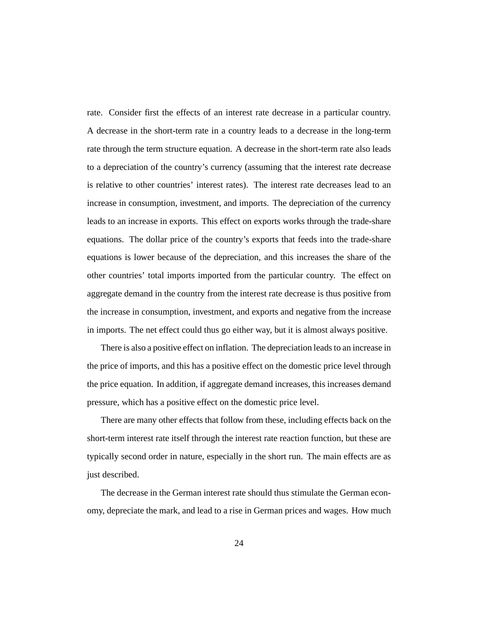rate. Consider first the effects of an interest rate decrease in a particular country. A decrease in the short-term rate in a country leads to a decrease in the long-term rate through the term structure equation. A decrease in the short-term rate also leads to a depreciation of the country's currency (assuming that the interest rate decrease is relative to other countries' interest rates). The interest rate decreases lead to an increase in consumption, investment, and imports. The depreciation of the currency leads to an increase in exports. This effect on exports works through the trade-share equations. The dollar price of the country's exports that feeds into the trade-share equations is lower because of the depreciation, and this increases the share of the other countries' total imports imported from the particular country. The effect on aggregate demand in the country from the interest rate decrease is thus positive from the increase in consumption, investment, and exports and negative from the increase in imports. The net effect could thus go either way, but it is almost always positive.

There is also a positive effect on inflation. The depreciation leads to an increase in the price of imports, and this has a positive effect on the domestic price level through the price equation. In addition, if aggregate demand increases, this increases demand pressure, which has a positive effect on the domestic price level.

There are many other effects that follow from these, including effects back on the short-term interest rate itself through the interest rate reaction function, but these are typically second order in nature, especially in the short run. The main effects are as just described.

The decrease in the German interest rate should thus stimulate the German economy, depreciate the mark, and lead to a rise in German prices and wages. How much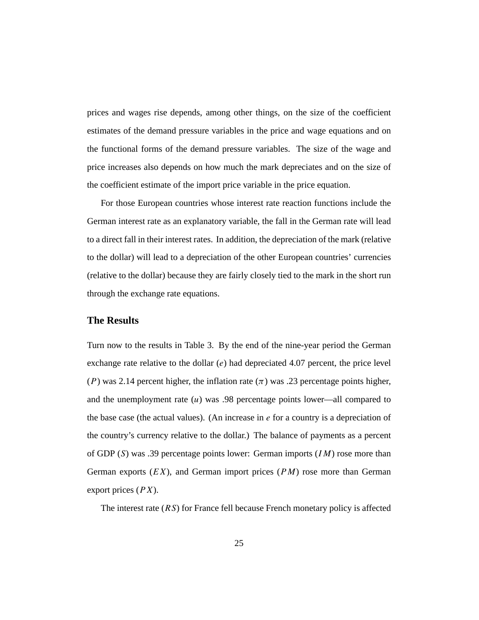prices and wages rise depends, among other things, on the size of the coefficient estimates of the demand pressure variables in the price and wage equations and on the functional forms of the demand pressure variables. The size of the wage and price increases also depends on how much the mark depreciates and on the size of the coefficient estimate of the import price variable in the price equation.

For those European countries whose interest rate reaction functions include the German interest rate as an explanatory variable, the fall in the German rate will lead to a direct fall in their interest rates. In addition, the depreciation of the mark (relative to the dollar) will lead to a depreciation of the other European countries' currencies (relative to the dollar) because they are fairly closely tied to the mark in the short run through the exchange rate equations.

### **The Results**

Turn now to the results in Table 3. By the end of the nine-year period the German exchange rate relative to the dollar (*e*) had depreciated 4.07 percent, the price level (*P*) was 2.14 percent higher, the inflation rate ( $\pi$ ) was .23 percentage points higher, and the unemployment rate (*u*) was .98 percentage points lower—all compared to the base case (the actual values). (An increase in *e* for a country is a depreciation of the country's currency relative to the dollar.) The balance of payments as a percent of GDP (*S*) was .39 percentage points lower: German imports (*IM*) rose more than German exports (*EX*), and German import prices (*PM*) rose more than German export prices (*PX*).

The interest rate (*RS*) for France fell because French monetary policy is affected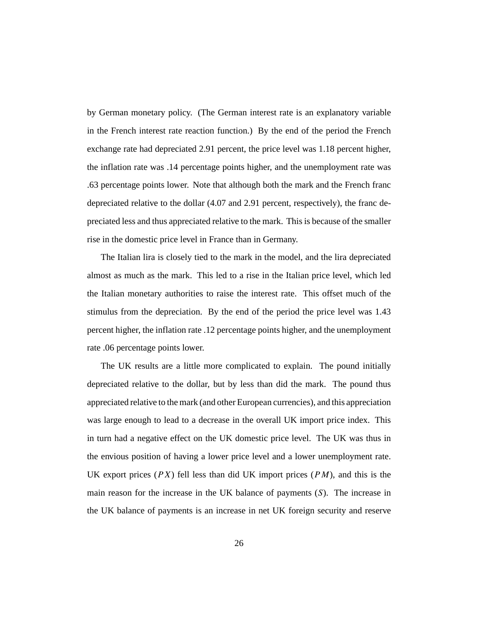by German monetary policy. (The German interest rate is an explanatory variable in the French interest rate reaction function.) By the end of the period the French exchange rate had depreciated 2.91 percent, the price level was 1.18 percent higher, the inflation rate was .14 percentage points higher, and the unemployment rate was .63 percentage points lower. Note that although both the mark and the French franc depreciated relative to the dollar (4.07 and 2.91 percent, respectively), the franc depreciated less and thus appreciated relative to the mark. This is because of the smaller rise in the domestic price level in France than in Germany.

The Italian lira is closely tied to the mark in the model, and the lira depreciated almost as much as the mark. This led to a rise in the Italian price level, which led the Italian monetary authorities to raise the interest rate. This offset much of the stimulus from the depreciation. By the end of the period the price level was 1.43 percent higher, the inflation rate .12 percentage points higher, and the unemployment rate .06 percentage points lower.

The UK results are a little more complicated to explain. The pound initially depreciated relative to the dollar, but by less than did the mark. The pound thus appreciated relative to the mark (and other European currencies), and this appreciation was large enough to lead to a decrease in the overall UK import price index. This in turn had a negative effect on the UK domestic price level. The UK was thus in the envious position of having a lower price level and a lower unemployment rate. UK export prices (*PX*) fell less than did UK import prices (*PM*), and this is the main reason for the increase in the UK balance of payments (*S*). The increase in the UK balance of payments is an increase in net UK foreign security and reserve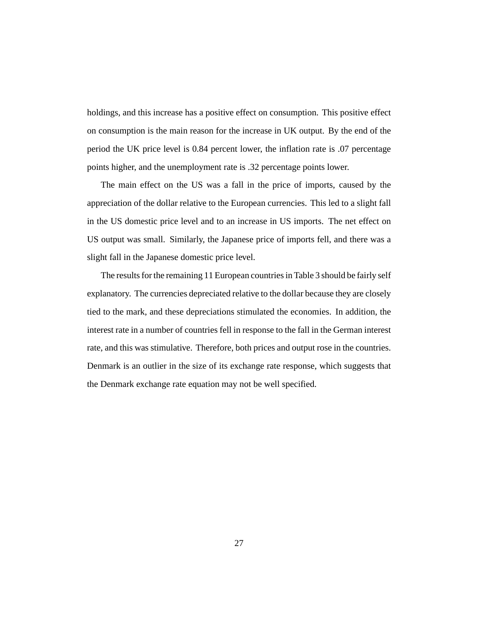holdings, and this increase has a positive effect on consumption. This positive effect on consumption is the main reason for the increase in UK output. By the end of the period the UK price level is 0.84 percent lower, the inflation rate is .07 percentage points higher, and the unemployment rate is .32 percentage points lower.

The main effect on the US was a fall in the price of imports, caused by the appreciation of the dollar relative to the European currencies. This led to a slight fall in the US domestic price level and to an increase in US imports. The net effect on US output was small. Similarly, the Japanese price of imports fell, and there was a slight fall in the Japanese domestic price level.

The results for the remaining 11 European countries in Table 3 should be fairly self explanatory. The currencies depreciated relative to the dollar because they are closely tied to the mark, and these depreciations stimulated the economies. In addition, the interest rate in a number of countries fell in response to the fall in the German interest rate, and this was stimulative. Therefore, both prices and output rose in the countries. Denmark is an outlier in the size of its exchange rate response, which suggests that the Denmark exchange rate equation may not be well specified.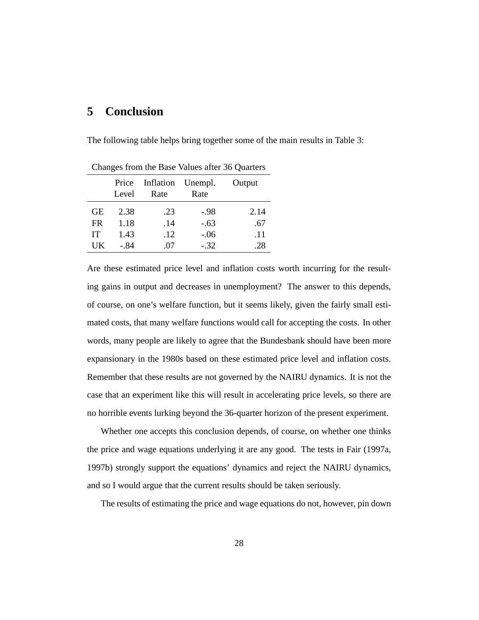# **5 Conclusion**

The following table helps bring together some of the main results in Table 3:

|           | Price<br>Level | Inflation Unempl.<br>Rate | Rate   | Output |
|-----------|----------------|---------------------------|--------|--------|
| <b>GE</b> | 2.38           | .23                       | $-.98$ | 2.14   |
| <b>FR</b> | 1.18           | .14                       | $-.63$ | .67    |
| <b>IT</b> | 1.43           | .12                       | $-.06$ | .11    |
| UК        | $-.84$         | .07                       | $-.32$ | .28    |

Changes from the Base Values after 36 Quarters

Are these estimated price level and inflation costs worth incurring for the resulting gains in output and decreases in unemployment? The answer to this depends, of course, on one's welfare function, but it seems likely, given the fairly small estimated costs, that many welfare functions would call for accepting the costs. In other words, many people are likely to agree that the Bundesbank should have been more expansionary in the 1980s based on these estimated price level and inflation costs. Remember that these results are not governed by the NAIRU dynamics. It is not the case that an experiment like this will result in accelerating price levels, so there are no horrible events lurking beyond the 36-quarter horizon of the present experiment.

Whether one accepts this conclusion depends, of course, on whether one thinks the price and wage equations underlying it are any good. The tests in Fair (1997a, 1997b) strongly support the equations' dynamics and reject the NAIRU dynamics, and so I would argue that the current results should be taken seriously.

The results of estimating the price and wage equations do not, however, pin down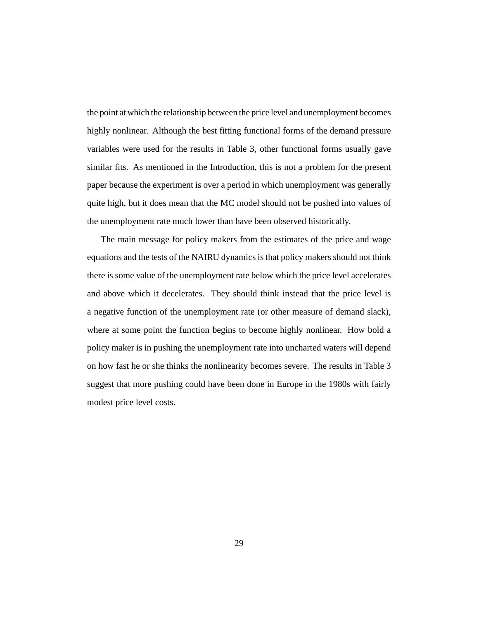the point at which the relationship between the price level and unemployment becomes highly nonlinear. Although the best fitting functional forms of the demand pressure variables were used for the results in Table 3, other functional forms usually gave similar fits. As mentioned in the Introduction, this is not a problem for the present paper because the experiment is over a period in which unemployment was generally quite high, but it does mean that the MC model should not be pushed into values of the unemployment rate much lower than have been observed historically.

The main message for policy makers from the estimates of the price and wage equations and the tests of the NAIRU dynamics is that policy makers should not think there is some value of the unemployment rate below which the price level accelerates and above which it decelerates. They should think instead that the price level is a negative function of the unemployment rate (or other measure of demand slack), where at some point the function begins to become highly nonlinear. How bold a policy maker is in pushing the unemployment rate into uncharted waters will depend on how fast he or she thinks the nonlinearity becomes severe. The results in Table 3 suggest that more pushing could have been done in Europe in the 1980s with fairly modest price level costs.